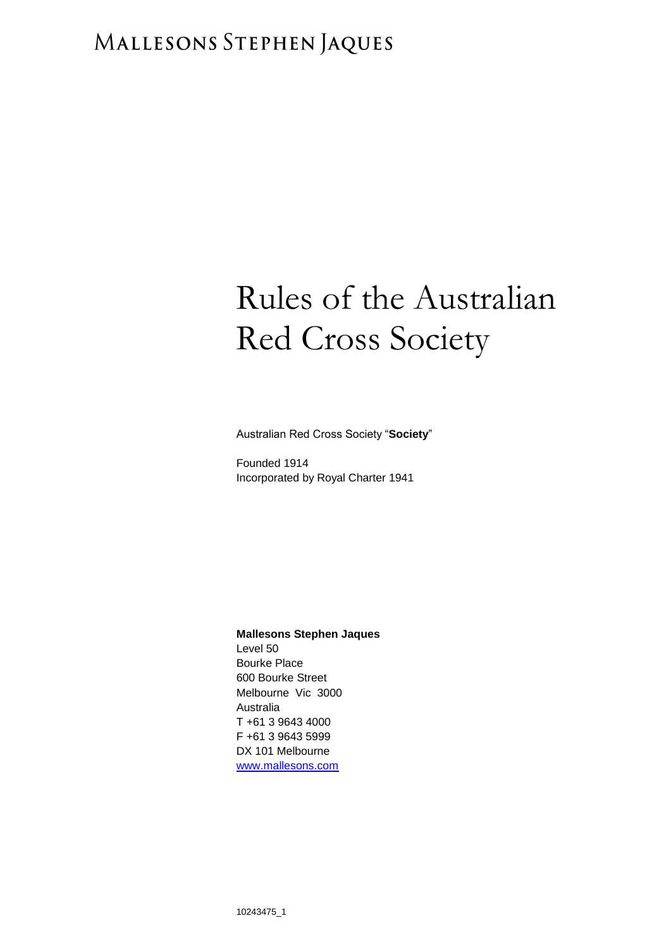# MALLESONS STEPHEN JAQUES

# Rules of the Australian Red Cross Society

Australian Red Cross Society "**Society**"

Founded 1914 Incorporated by Royal Charter 1941

#### **Mallesons Stephen Jaques**

Level 50 Bourke Place 600 Bourke Street Melbourne Vic 3000 Australia T +61 3 9643 4000 F +61 3 9643 5999 DX 101 Melbourne [www.mallesons.com](http://www.mallesons.com/)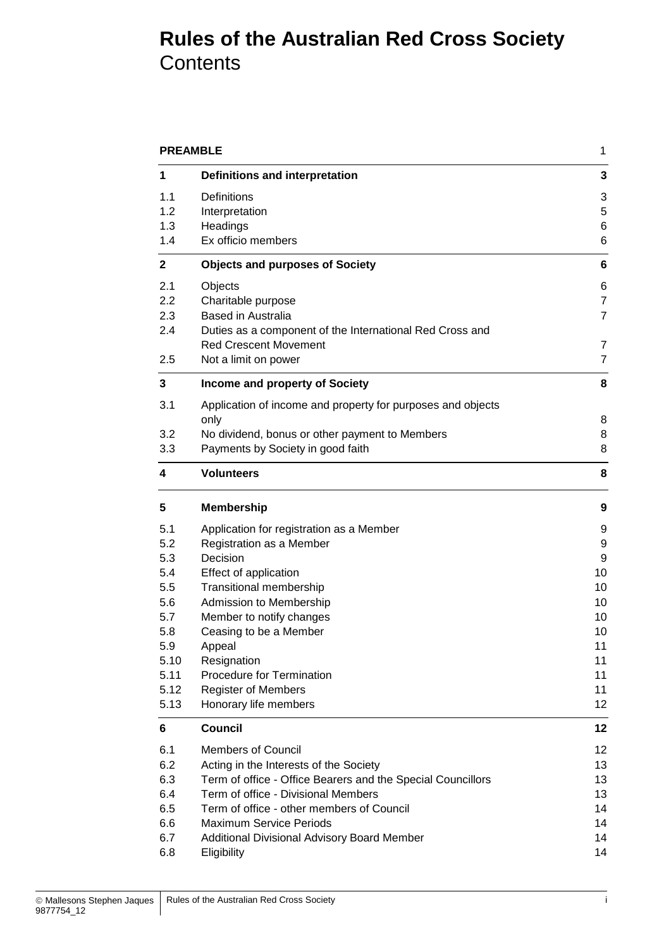## **Rules of the Australian Red Cross Society Contents**

| <b>PREAMBLE</b> |                                                             | 1              |
|-----------------|-------------------------------------------------------------|----------------|
| 1               | Definitions and interpretation                              | 3              |
| 1.1             | Definitions                                                 | 3              |
| 1.2             | Interpretation                                              | 5              |
| 1.3             | Headings                                                    | 6              |
| 1.4             | Ex officio members                                          | 6              |
| $\mathbf{2}$    | <b>Objects and purposes of Society</b>                      | 6              |
| 2.1             | Objects                                                     | 6              |
| 2.2             | Charitable purpose                                          | $\overline{7}$ |
| 2.3             | <b>Based in Australia</b>                                   | 7              |
| 2.4             | Duties as a component of the International Red Cross and    |                |
|                 | <b>Red Crescent Movement</b>                                | 7              |
| 2.5             | Not a limit on power                                        | 7              |
| 3               | Income and property of Society                              | 8              |
| 3.1             | Application of income and property for purposes and objects |                |
|                 | only                                                        | 8              |
| 3.2             | No dividend, bonus or other payment to Members              | 8              |
| 3.3             | Payments by Society in good faith                           | 8              |
| 4               | <b>Volunteers</b>                                           | 8              |
| 5               | <b>Membership</b>                                           | 9              |
| 5.1             | Application for registration as a Member                    | 9              |
| 5.2             | Registration as a Member                                    | 9              |
| 5.3             | Decision                                                    | 9              |
| 5.4             | Effect of application                                       | 10             |
| 5.5             | Transitional membership                                     | 10             |
| 5.6             | Admission to Membership                                     | 10             |
| 5.7             | Member to notify changes                                    | 10             |
| 5.8             | Ceasing to be a Member                                      | 10             |
| 5.9             | Appeal                                                      | 11             |
| 5.10            | Resignation                                                 | 11             |
| 5.11            | Procedure for Termination                                   | 11             |
| 5.12            | <b>Register of Members</b>                                  | 11             |
| 5.13            | Honorary life members                                       | 12             |
| 6               | <b>Council</b>                                              | 12             |
| 6.1             | <b>Members of Council</b>                                   | 12             |
| 6.2             | Acting in the Interests of the Society                      | 13             |
| 6.3             | Term of office - Office Bearers and the Special Councillors | 13             |
| 6.4             | Term of office - Divisional Members                         | 13             |
| 6.5             | Term of office - other members of Council                   | 14             |
| 6.6             | <b>Maximum Service Periods</b>                              | 14             |
| 6.7             | Additional Divisional Advisory Board Member                 | 14             |
| 6.8             | Eligibility                                                 | 14             |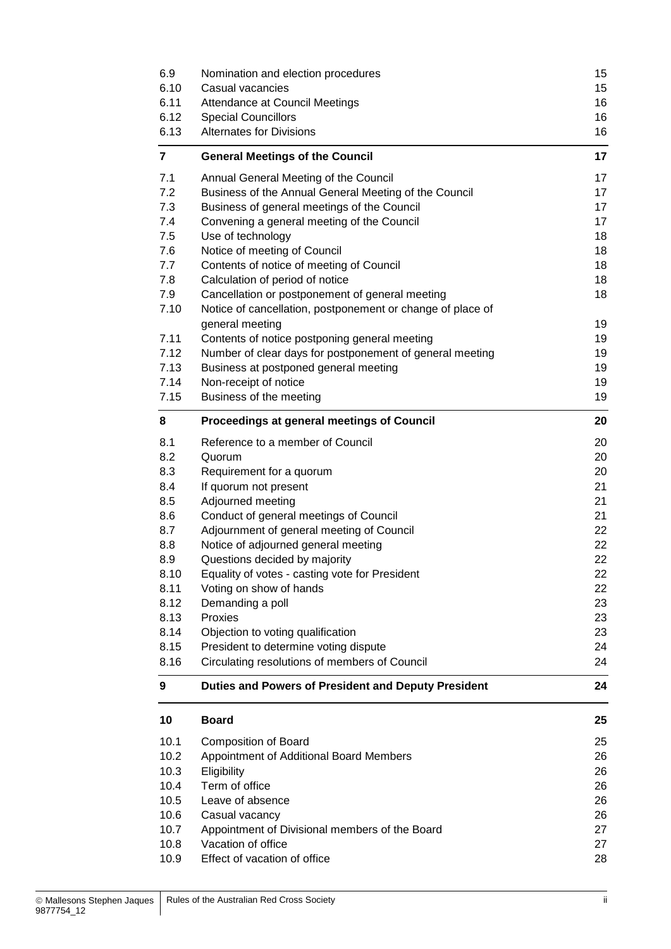| 6.9<br>6.10<br>6.11<br>6.12<br>6.13 | Nomination and election procedures<br>Casual vacancies<br>Attendance at Council Meetings<br><b>Special Councillors</b><br><b>Alternates for Divisions</b> | 15<br>15<br>16<br>16<br>16 |
|-------------------------------------|-----------------------------------------------------------------------------------------------------------------------------------------------------------|----------------------------|
| 7                                   | <b>General Meetings of the Council</b>                                                                                                                    | 17                         |
| 7.1                                 | Annual General Meeting of the Council                                                                                                                     | 17                         |
| 7.2                                 | Business of the Annual General Meeting of the Council                                                                                                     | 17                         |
| 7.3                                 | Business of general meetings of the Council                                                                                                               | 17                         |
| 7.4<br>7.5                          | Convening a general meeting of the Council<br>Use of technology                                                                                           | 17<br>18                   |
| 7.6                                 | Notice of meeting of Council                                                                                                                              | 18                         |
| 7.7                                 | Contents of notice of meeting of Council                                                                                                                  | 18                         |
| 7.8                                 | Calculation of period of notice                                                                                                                           | 18                         |
| 7.9                                 | Cancellation or postponement of general meeting                                                                                                           | 18                         |
| 7.10                                | Notice of cancellation, postponement or change of place of                                                                                                |                            |
|                                     | general meeting                                                                                                                                           | 19                         |
| 7.11                                | Contents of notice postponing general meeting                                                                                                             | 19                         |
| 7.12                                | Number of clear days for postponement of general meeting                                                                                                  | 19                         |
| 7.13<br>7.14                        | Business at postponed general meeting<br>Non-receipt of notice                                                                                            | 19<br>19                   |
| 7.15                                | Business of the meeting                                                                                                                                   | 19                         |
|                                     |                                                                                                                                                           |                            |
| 8                                   | Proceedings at general meetings of Council                                                                                                                | 20                         |
| 8.1                                 | Reference to a member of Council                                                                                                                          | 20                         |
| 8.2                                 | Quorum                                                                                                                                                    | 20                         |
| 8.3<br>8.4                          | Requirement for a quorum<br>If quorum not present                                                                                                         | 20<br>21                   |
| 8.5                                 | Adjourned meeting                                                                                                                                         | 21                         |
| 8.6                                 | Conduct of general meetings of Council                                                                                                                    | 21                         |
| 8.7                                 | Adjournment of general meeting of Council                                                                                                                 | 22                         |
| 8.8                                 | Notice of adjourned general meeting                                                                                                                       | 22                         |
| 8.9                                 | Questions decided by majority                                                                                                                             | 22                         |
| 8.10                                | Equality of votes - casting vote for President                                                                                                            | 22                         |
| 8.11                                | Voting on show of hands                                                                                                                                   | 22                         |
| 8.12                                | Demanding a poll                                                                                                                                          | 23                         |
| 8.13<br>8.14                        | Proxies<br>Objection to voting qualification                                                                                                              | 23<br>23                   |
| 8.15                                | President to determine voting dispute                                                                                                                     | 24                         |
| 8.16                                | Circulating resolutions of members of Council                                                                                                             | 24                         |
| 9                                   | Duties and Powers of President and Deputy President                                                                                                       | 24                         |
| 10                                  | <b>Board</b>                                                                                                                                              | 25                         |
| 10.1                                | <b>Composition of Board</b>                                                                                                                               | 25                         |
| 10.2                                | Appointment of Additional Board Members                                                                                                                   | 26                         |
| 10.3                                | Eligibility                                                                                                                                               | 26                         |
| 10.4                                | Term of office                                                                                                                                            | 26                         |
| 10.5                                | Leave of absence                                                                                                                                          | 26                         |
| 10.6                                | Casual vacancy                                                                                                                                            | 26                         |
| 10.7<br>10.8                        | Appointment of Divisional members of the Board<br>Vacation of office                                                                                      | 27<br>27                   |
| 10.9                                | Effect of vacation of office                                                                                                                              | 28                         |
|                                     |                                                                                                                                                           |                            |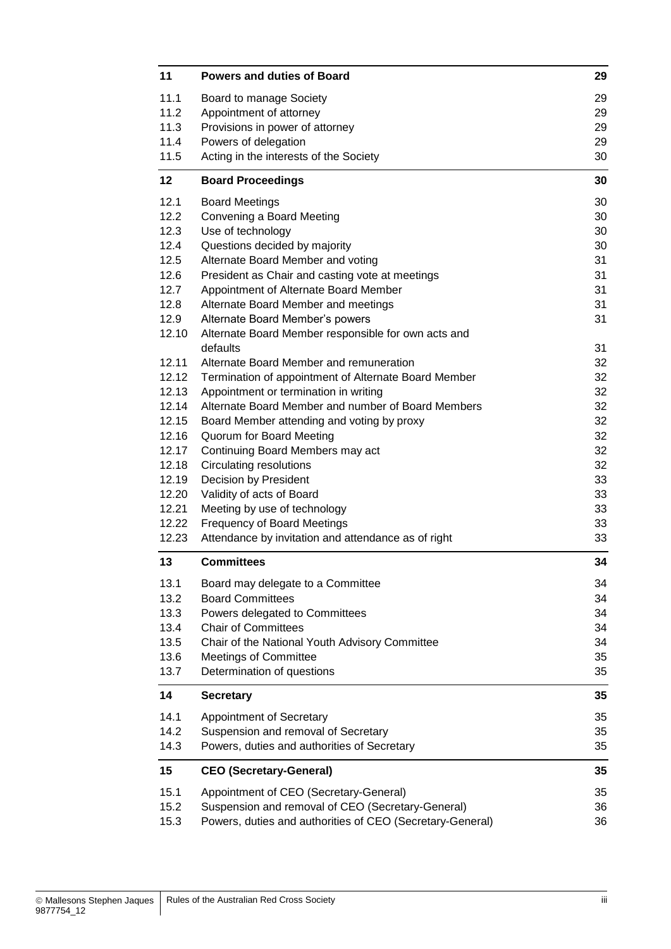| 11    | <b>Powers and duties of Board</b>                               | 29 |
|-------|-----------------------------------------------------------------|----|
| 11.1  | Board to manage Society                                         | 29 |
| 11.2  | Appointment of attorney                                         | 29 |
| 11.3  | Provisions in power of attorney                                 | 29 |
| 11.4  | Powers of delegation                                            | 29 |
| 11.5  | Acting in the interests of the Society                          | 30 |
| 12    | <b>Board Proceedings</b>                                        | 30 |
| 12.1  | <b>Board Meetings</b>                                           | 30 |
| 12.2  | Convening a Board Meeting                                       | 30 |
| 12.3  | Use of technology                                               | 30 |
| 12.4  | Questions decided by majority                                   | 30 |
| 12.5  | Alternate Board Member and voting                               | 31 |
| 12.6  | President as Chair and casting vote at meetings                 | 31 |
| 12.7  | Appointment of Alternate Board Member                           | 31 |
| 12.8  | Alternate Board Member and meetings                             | 31 |
| 12.9  | Alternate Board Member's powers                                 | 31 |
| 12.10 | Alternate Board Member responsible for own acts and<br>defaults | 31 |
| 12.11 | Alternate Board Member and remuneration                         | 32 |
| 12.12 | Termination of appointment of Alternate Board Member            | 32 |
| 12.13 | Appointment or termination in writing                           | 32 |
| 12.14 | Alternate Board Member and number of Board Members              | 32 |
| 12.15 | Board Member attending and voting by proxy                      | 32 |
| 12.16 | Quorum for Board Meeting                                        | 32 |
| 12.17 | Continuing Board Members may act                                | 32 |
| 12.18 | <b>Circulating resolutions</b>                                  | 32 |
| 12.19 | Decision by President                                           | 33 |
| 12.20 | Validity of acts of Board                                       | 33 |
| 12.21 | Meeting by use of technology                                    | 33 |
| 12.22 | <b>Frequency of Board Meetings</b>                              | 33 |
| 12.23 | Attendance by invitation and attendance as of right             | 33 |
| 13    | <b>Committees</b>                                               | 34 |
| 13.1  | Board may delegate to a Committee                               | 34 |
| 13.2  | <b>Board Committees</b>                                         | 34 |
| 13.3  | Powers delegated to Committees                                  | 34 |
| 13.4  | <b>Chair of Committees</b>                                      | 34 |
| 13.5  | Chair of the National Youth Advisory Committee                  | 34 |
| 13.6  | <b>Meetings of Committee</b>                                    | 35 |
| 13.7  | Determination of questions                                      | 35 |
| 14    | <b>Secretary</b>                                                | 35 |
| 14.1  | Appointment of Secretary                                        | 35 |
| 14.2  | Suspension and removal of Secretary                             | 35 |
| 14.3  | Powers, duties and authorities of Secretary                     | 35 |
| 15    | <b>CEO (Secretary-General)</b>                                  | 35 |
| 15.1  | Appointment of CEO (Secretary-General)                          | 35 |
| 15.2  | Suspension and removal of CEO (Secretary-General)               | 36 |
| 15.3  | Powers, duties and authorities of CEO (Secretary-General)       | 36 |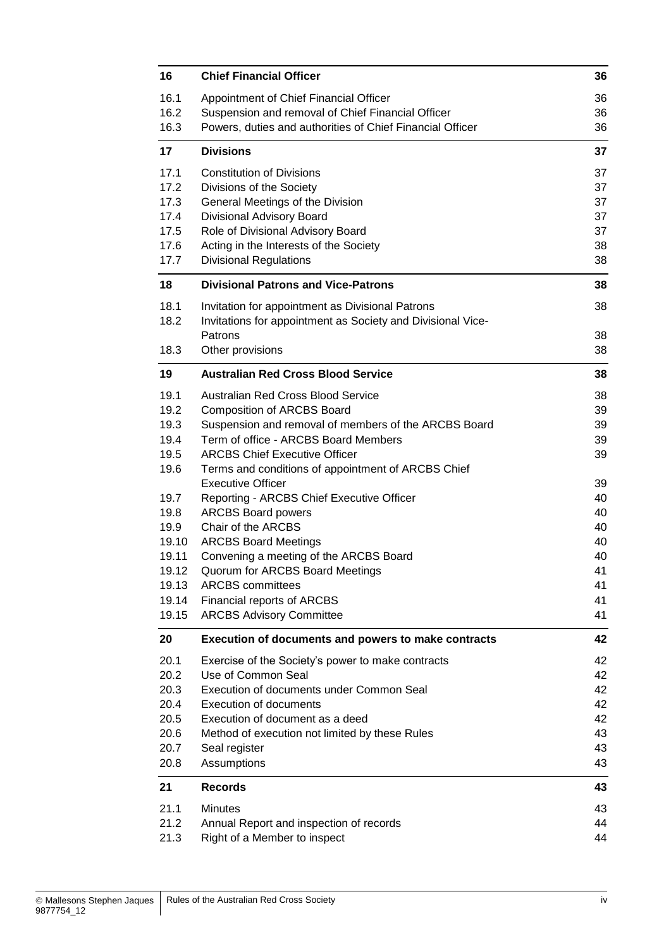| 16           | <b>Chief Financial Officer</b>                                                 | 36       |
|--------------|--------------------------------------------------------------------------------|----------|
| 16.1         | Appointment of Chief Financial Officer                                         | 36       |
| 16.2         | Suspension and removal of Chief Financial Officer                              | 36       |
| 16.3         | Powers, duties and authorities of Chief Financial Officer                      | 36       |
| 17           | <b>Divisions</b>                                                               | 37       |
| 17.1         | <b>Constitution of Divisions</b>                                               | 37       |
| 17.2         | Divisions of the Society                                                       | 37       |
| 17.3         | General Meetings of the Division                                               | 37       |
| 17.4         | Divisional Advisory Board                                                      | 37       |
| 17.5         | Role of Divisional Advisory Board                                              | 37       |
| 17.6         | Acting in the Interests of the Society                                         | 38       |
| 17.7         | <b>Divisional Regulations</b>                                                  | 38       |
| 18           | <b>Divisional Patrons and Vice-Patrons</b>                                     | 38       |
| 18.1         | Invitation for appointment as Divisional Patrons                               | 38       |
| 18.2         | Invitations for appointment as Society and Divisional Vice-                    |          |
|              | Patrons                                                                        | 38       |
| 18.3         | Other provisions                                                               | 38       |
| 19           | <b>Australian Red Cross Blood Service</b>                                      | 38       |
| 19.1         | Australian Red Cross Blood Service                                             | 38       |
| 19.2         | <b>Composition of ARCBS Board</b>                                              | 39       |
| 19.3         | Suspension and removal of members of the ARCBS Board                           | 39       |
| 19.4         | Term of office - ARCBS Board Members                                           | 39       |
| 19.5         | <b>ARCBS Chief Executive Officer</b>                                           | 39       |
| 19.6         | Terms and conditions of appointment of ARCBS Chief<br><b>Executive Officer</b> | 39       |
| 19.7         | Reporting - ARCBS Chief Executive Officer                                      | 40       |
| 19.8         | <b>ARCBS Board powers</b>                                                      | 40       |
| 19.9         | Chair of the ARCBS                                                             | 40       |
| 19.10        | <b>ARCBS Board Meetings</b>                                                    | 40       |
| 19.11        | Convening a meeting of the ARCBS Board                                         | 40       |
| 19.12        | Quorum for ARCBS Board Meetings                                                | 41       |
| 19.13        | <b>ARCBS</b> committees                                                        | 41       |
| 19.14        | Financial reports of ARCBS                                                     | 41       |
| 19.15        | <b>ARCBS Advisory Committee</b>                                                | 41       |
| 20           | Execution of documents and powers to make contracts                            | 42       |
| 20.1         | Exercise of the Society's power to make contracts                              | 42       |
| 20.2         | Use of Common Seal                                                             | 42       |
| 20.3         | Execution of documents under Common Seal                                       | 42       |
| 20.4         | <b>Execution of documents</b>                                                  | 42       |
| 20.5         | Execution of document as a deed                                                | 42       |
| 20.6         | Method of execution not limited by these Rules                                 | 43<br>43 |
| 20.7<br>20.8 | Seal register<br>Assumptions                                                   | 43       |
| 21           | <b>Records</b>                                                                 | 43       |
| 21.1         | <b>Minutes</b>                                                                 | 43       |
| 21.2         | Annual Report and inspection of records                                        | 44       |
| 21.3         | Right of a Member to inspect                                                   | 44       |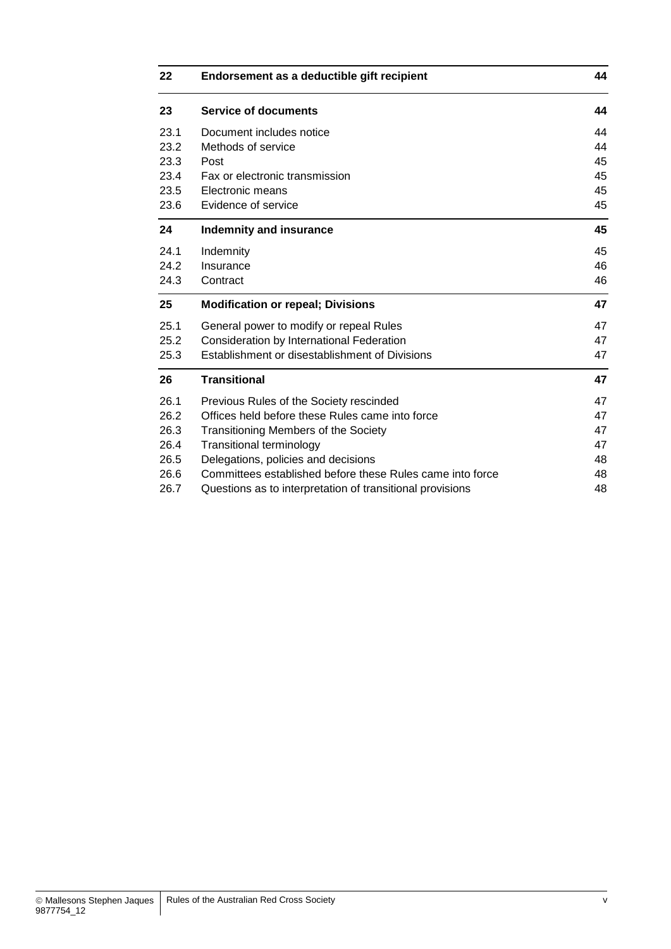| 22   | Endorsement as a deductible gift recipient                | 44 |
|------|-----------------------------------------------------------|----|
| 23   | <b>Service of documents</b>                               | 44 |
| 23.1 | Document includes notice                                  | 44 |
| 23.2 | Methods of service                                        | 44 |
| 23.3 | Post                                                      | 45 |
| 23.4 | Fax or electronic transmission                            | 45 |
| 23.5 | Electronic means                                          | 45 |
| 23.6 | Evidence of service                                       | 45 |
| 24   | <b>Indemnity and insurance</b>                            | 45 |
| 24.1 | Indemnity                                                 | 45 |
| 24.2 | Insurance                                                 | 46 |
| 24.3 | Contract                                                  | 46 |
| 25   | <b>Modification or repeal; Divisions</b>                  | 47 |
| 25.1 | General power to modify or repeal Rules                   | 47 |
| 25.2 | Consideration by International Federation                 | 47 |
| 25.3 | Establishment or disestablishment of Divisions            | 47 |
| 26   | <b>Transitional</b>                                       | 47 |
| 26.1 | Previous Rules of the Society rescinded                   | 47 |
| 26.2 | Offices held before these Rules came into force           | 47 |
| 26.3 | Transitioning Members of the Society                      | 47 |
| 26.4 | <b>Transitional terminology</b>                           | 47 |
| 26.5 | Delegations, policies and decisions                       | 48 |
| 26.6 | Committees established before these Rules came into force | 48 |
| 26.7 | Questions as to interpretation of transitional provisions | 48 |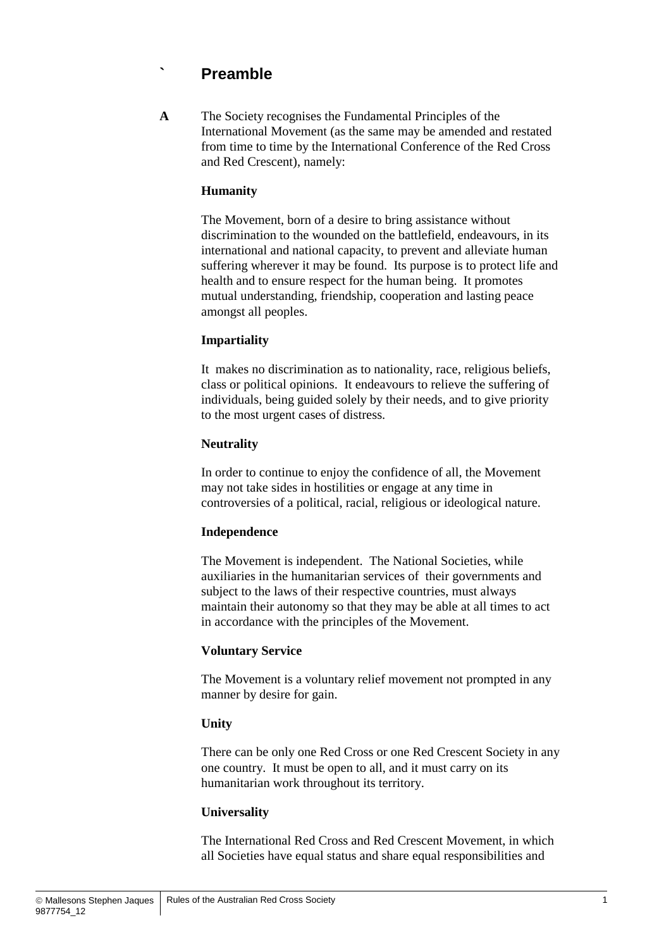## **` Preamble**

**A** The Society recognises the Fundamental Principles of the International Movement (as the same may be amended and restated from time to time by the International Conference of the Red Cross and Red Crescent), namely:

#### **Humanity**

The Movement, born of a desire to bring assistance without discrimination to the wounded on the battlefield, endeavours, in its international and national capacity, to prevent and alleviate human suffering wherever it may be found. Its purpose is to protect life and health and to ensure respect for the human being. It promotes mutual understanding, friendship, cooperation and lasting peace amongst all peoples.

#### **Impartiality**

It makes no discrimination as to nationality, race, religious beliefs, class or political opinions. It endeavours to relieve the suffering of individuals, being guided solely by their needs, and to give priority to the most urgent cases of distress.

#### **Neutrality**

In order to continue to enjoy the confidence of all, the Movement may not take sides in hostilities or engage at any time in controversies of a political, racial, religious or ideological nature.

#### **Independence**

The Movement is independent. The National Societies, while auxiliaries in the humanitarian services of their governments and subject to the laws of their respective countries, must always maintain their autonomy so that they may be able at all times to act in accordance with the principles of the Movement.

#### **Voluntary Service**

The Movement is a voluntary relief movement not prompted in any manner by desire for gain.

#### **Unity**

There can be only one Red Cross or one Red Crescent Society in any one country. It must be open to all, and it must carry on its humanitarian work throughout its territory.

#### **Universality**

The International Red Cross and Red Crescent Movement, in which all Societies have equal status and share equal responsibilities and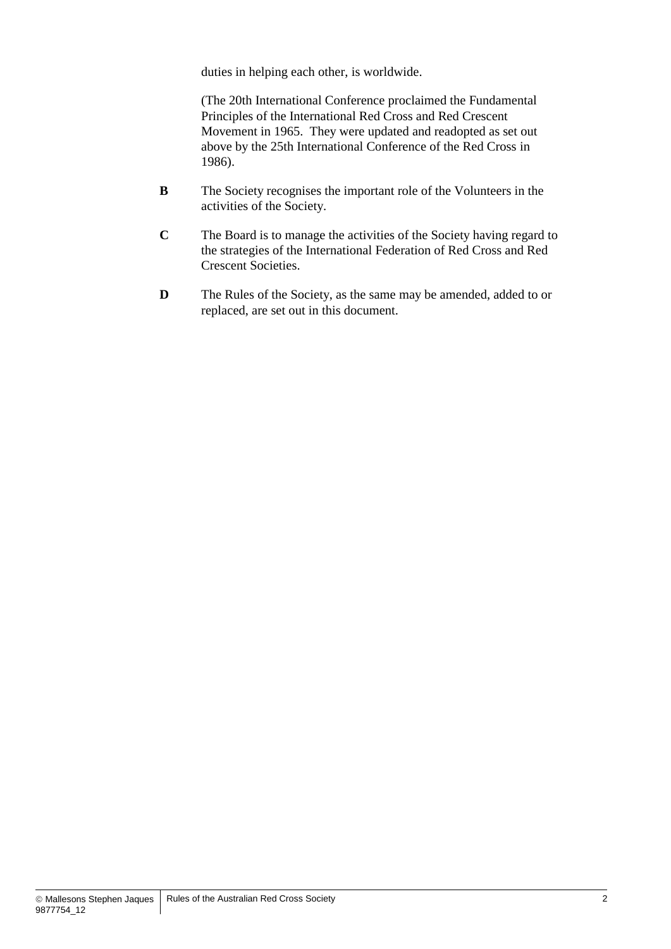duties in helping each other, is worldwide.

(The 20th International Conference proclaimed the Fundamental Principles of the International Red Cross and Red Crescent Movement in 1965. They were updated and readopted as set out above by the 25th International Conference of the Red Cross in 1986).

- **B** The Society recognises the important role of the Volunteers in the activities of the Society.
- **C** The Board is to manage the activities of the Society having regard to the strategies of the International Federation of Red Cross and Red Crescent Societies.
- **D** The Rules of the Society, as the same may be amended, added to or replaced, are set out in this document.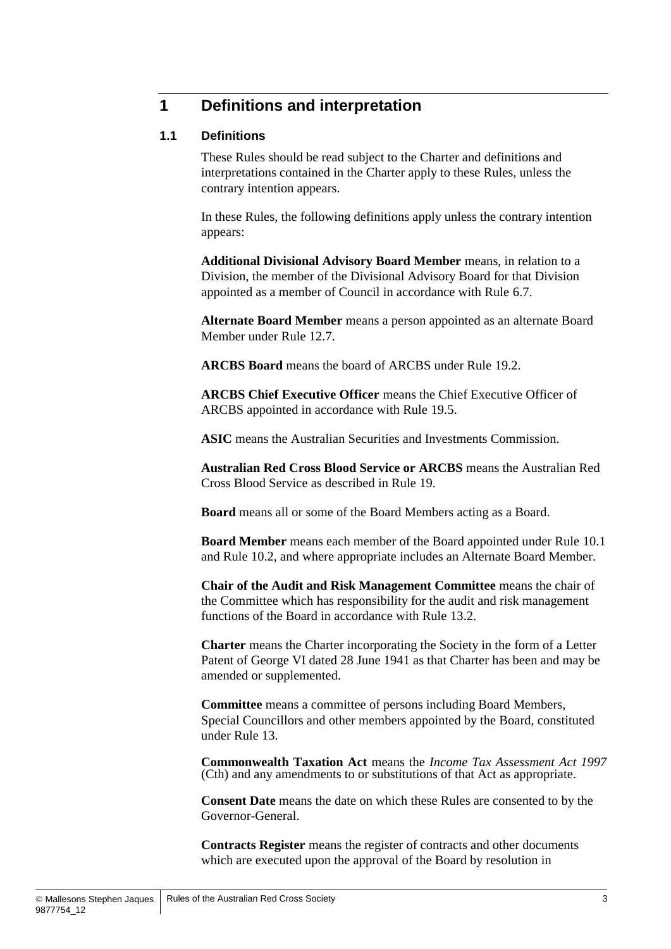## **1 Definitions and interpretation**

#### **1.1 Definitions**

These Rules should be read subject to the Charter and definitions and interpretations contained in the Charter apply to these Rules, unless the contrary intention appears.

In these Rules, the following definitions apply unless the contrary intention appears:

**Additional Divisional Advisory Board Member** means, in relation to a Division, the member of the Divisional Advisory Board for that Division appointed as a member of Council in accordance with Rule [6.7.](#page-19-0)

**Alternate Board Member** means a person appointed as an alternate Board Member under Rule [12.7.](#page-36-0)

**ARCBS Board** means the board of ARCBS under Rule [19.2.](#page-44-0)

**ARCBS Chief Executive Officer** means the Chief Executive Officer of ARCBS appointed in accordance with Rule [19.5.](#page-44-1)

**ASIC** means the Australian Securities and Investments Commission.

**Australian Red Cross Blood Service or ARCBS** means the Australian Red Cross Blood Service as described in Rule [19.](#page-43-0)

**Board** means all or some of the Board Members acting as a Board.

**Board Member** means each member of the Board appointed under Rule [10.1](#page-30-0) and Rule [10.2,](#page-31-0) and where appropriate includes an Alternate Board Member.

**Chair of the Audit and Risk Management Committee** means the chair of the Committee which has responsibility for the audit and risk management functions of the Board in accordance with Rule [13.2.](#page-39-0)

**Charter** means the Charter incorporating the Society in the form of a Letter Patent of George VI dated 28 June 1941 as that Charter has been and may be amended or supplemented.

**Committee** means a committee of persons including Board Members, Special Councillors and other members appointed by the Board, constituted under Rule [13.](#page-39-1)

**Commonwealth Taxation Act** means the *Income Tax Assessment Act 1997* (Cth) and any amendments to or substitutions of that Act as appropriate.

**Consent Date** means the date on which these Rules are consented to by the Governor-General.

**Contracts Register** means the register of contracts and other documents which are executed upon the approval of the Board by resolution in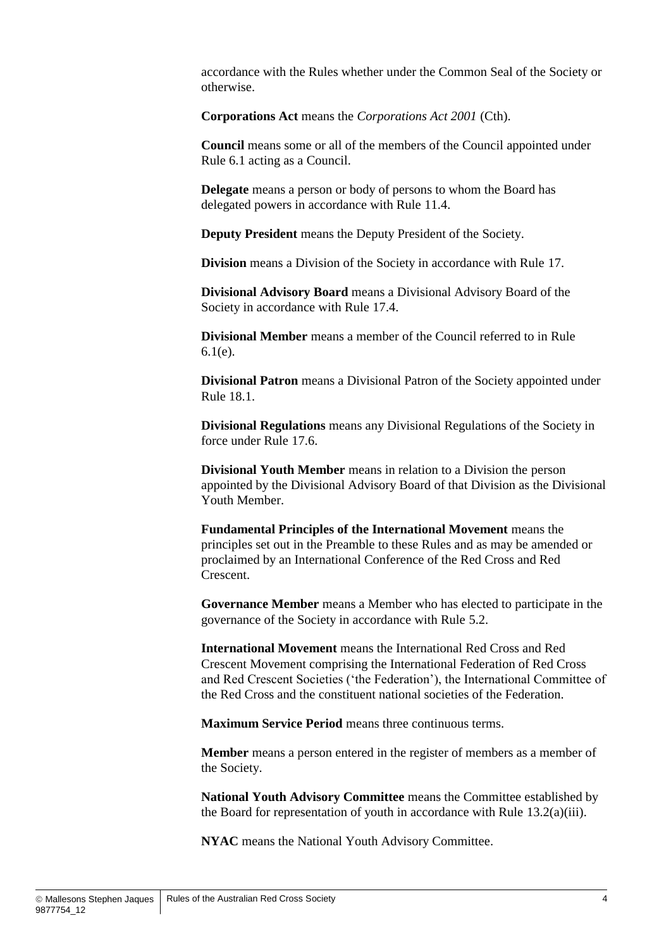accordance with the Rules whether under the Common Seal of the Society or otherwise.

**Corporations Act** means the *Corporations Act 2001* (Cth).

**Council** means some or all of the members of the Council appointed under Rule [6.1](#page-17-0) acting as a Council.

**Delegate** means a person or body of persons to whom the Board has delegated powers in accordance with Rule [11.4.](#page-34-0)

**Deputy President** means the Deputy President of the Society.

**Division** means a Division of the Society in accordance with Rule [17.](#page-42-0)

**Divisional Advisory Board** means a Divisional Advisory Board of the Society in accordance with Rule [17.4.](#page-42-1)

**Divisional Member** means a member of the Council referred to in Rule [6.1\(e\).](#page-17-1)

**Divisional Patron** means a Divisional Patron of the Society appointed under Rule [18.1.](#page-43-1)

**Divisional Regulations** means any Divisional Regulations of the Society in force under Rule 17.6

**Divisional Youth Member** means in relation to a Division the person appointed by the Divisional Advisory Board of that Division as the Divisional Youth Member.

**Fundamental Principles of the International Movement** means the principles set out in the Preamble to these Rules and as may be amended or proclaimed by an International Conference of the Red Cross and Red Crescent.

**Governance Member** means a Member who has elected to participate in the governance of the Society in accordance with Rule [5.2.](#page-14-0)

**International Movement** means the International Red Cross and Red Crescent Movement comprising the International Federation of Red Cross and Red Crescent Societies ('the Federation'), the International Committee of the Red Cross and the constituent national societies of the Federation.

**Maximum Service Period** means three continuous terms.

**Member** means a person entered in the register of members as a member of the Society.

**National Youth Advisory Committee** means the Committee established by the Board for representation of youth in accordance with Rule [13.2\(a\)\(iii\).](#page-39-2)

**NYAC** means the National Youth Advisory Committee.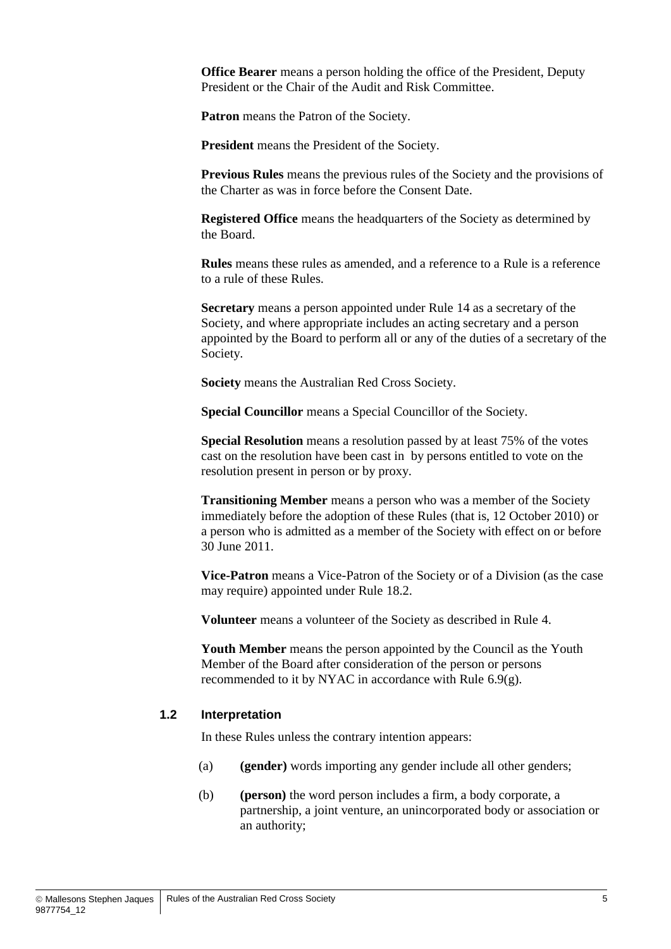**Office Bearer** means a person holding the office of the President, Deputy President or the Chair of the Audit and Risk Committee.

**Patron** means the Patron of the Society.

**President** means the President of the Society.

**Previous Rules** means the previous rules of the Society and the provisions of the Charter as was in force before the Consent Date.

**Registered Office** means the headquarters of the Society as determined by the Board.

**Rules** means these rules as amended, and a reference to a Rule is a reference to a rule of these Rules.

**Secretary** means a person appointed under Rule [14](#page-40-0) as a secretary of the Society, and where appropriate includes an acting secretary and a person appointed by the Board to perform all or any of the duties of a secretary of the Society.

**Society** means the Australian Red Cross Society.

**Special Councillor** means a Special Councillor of the Society.

**Special Resolution** means a resolution passed by at least 75% of the votes cast on the resolution have been cast in by persons entitled to vote on the resolution present in person or by proxy.

**Transitioning Member** means a person who was a member of the Society immediately before the adoption of these Rules (that is, 12 October 2010) or a person who is admitted as a member of the Society with effect on or before 30 June 2011.

**Vice-Patron** means a Vice-Patron of the Society or of a Division (as the case may require) appointed under Rule [18.2.](#page-43-3)

**Volunteer** means a volunteer of the Society as described in Rule [4.](#page-13-0)

**Youth Member** means the person appointed by the Council as the Youth Member of the Board after consideration of the person or persons recommended to it by NYAC in accordance with Rule [6.9\(g\).](#page-20-0)

#### **1.2 Interpretation**

In these Rules unless the contrary intention appears:

- (a) **(gender)** words importing any gender include all other genders;
- (b) **(person)** the word person includes a firm, a body corporate, a partnership, a joint venture, an unincorporated body or association or an authority;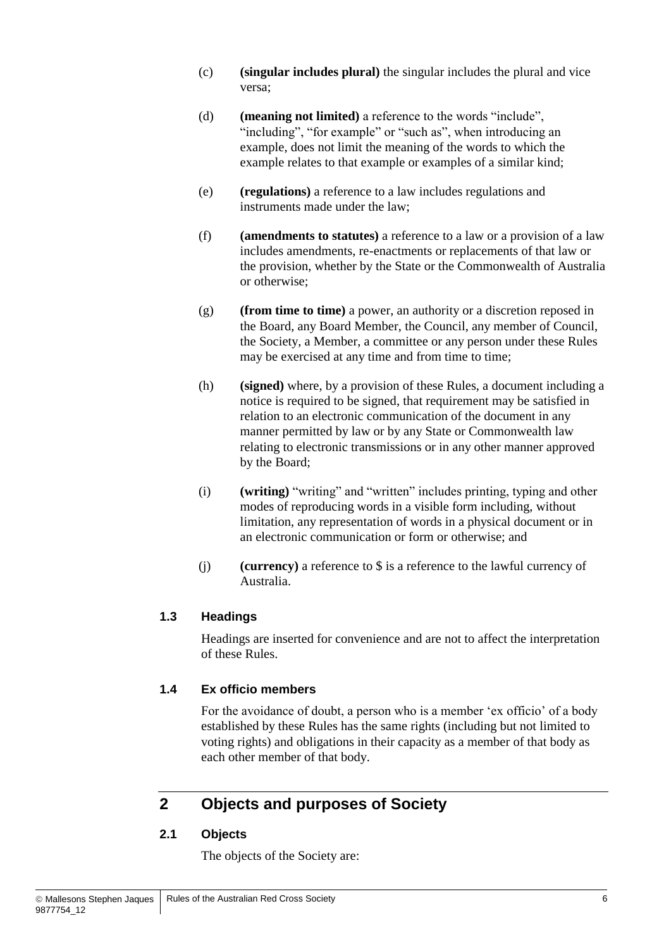- (c) **(singular includes plural)** the singular includes the plural and vice versa;
- (d) **(meaning not limited)** a reference to the words "include", "including", "for example" or "such as", when introducing an example, does not limit the meaning of the words to which the example relates to that example or examples of a similar kind;
- (e) **(regulations)** a reference to a law includes regulations and instruments made under the law;
- (f) **(amendments to statutes)** a reference to a law or a provision of a law includes amendments, re-enactments or replacements of that law or the provision, whether by the State or the Commonwealth of Australia or otherwise;
- (g) **(from time to time)** a power, an authority or a discretion reposed in the Board, any Board Member, the Council, any member of Council, the Society, a Member, a committee or any person under these Rules may be exercised at any time and from time to time;
- (h) **(signed)** where, by a provision of these Rules, a document including a notice is required to be signed, that requirement may be satisfied in relation to an electronic communication of the document in any manner permitted by law or by any State or Commonwealth law relating to electronic transmissions or in any other manner approved by the Board;
- (i) **(writing)** "writing" and "written" includes printing, typing and other modes of reproducing words in a visible form including, without limitation, any representation of words in a physical document or in an electronic communication or form or otherwise; and
- (j) **(currency)** a reference to \$ is a reference to the lawful currency of Australia.

#### **1.3 Headings**

Headings are inserted for convenience and are not to affect the interpretation of these Rules.

#### **1.4 Ex officio members**

For the avoidance of doubt, a person who is a member 'ex officio' of a body established by these Rules has the same rights (including but not limited to voting rights) and obligations in their capacity as a member of that body as each other member of that body.

## <span id="page-11-0"></span>**2 Objects and purposes of Society**

#### **2.1 Objects**

The objects of the Society are: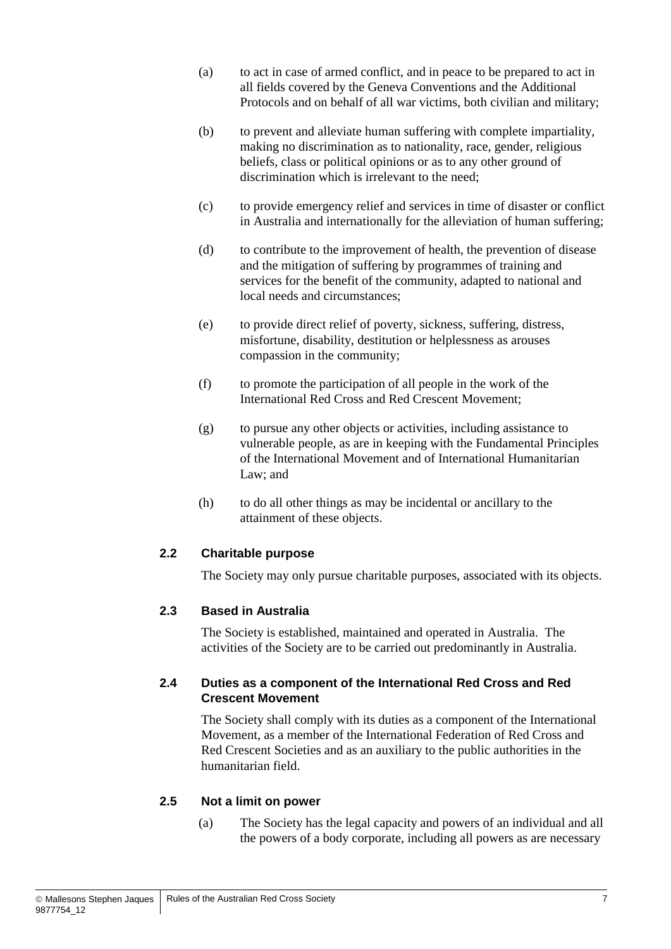- (a) to act in case of armed conflict, and in peace to be prepared to act in all fields covered by the Geneva Conventions and the Additional Protocols and on behalf of all war victims, both civilian and military;
- (b) to prevent and alleviate human suffering with complete impartiality, making no discrimination as to nationality, race, gender, religious beliefs, class or political opinions or as to any other ground of discrimination which is irrelevant to the need;
- (c) to provide emergency relief and services in time of disaster or conflict in Australia and internationally for the alleviation of human suffering;
- (d) to contribute to the improvement of health, the prevention of disease and the mitigation of suffering by programmes of training and services for the benefit of the community, adapted to national and local needs and circumstances;
- (e) to provide direct relief of poverty, sickness, suffering, distress, misfortune, disability, destitution or helplessness as arouses compassion in the community;
- (f) to promote the participation of all people in the work of the International Red Cross and Red Crescent Movement;
- (g) to pursue any other objects or activities, including assistance to vulnerable people, as are in keeping with the Fundamental Principles of the International Movement and of International Humanitarian Law; and
- (h) to do all other things as may be incidental or ancillary to the attainment of these objects.

#### **2.2 Charitable purpose**

The Society may only pursue charitable purposes, associated with its objects.

#### **2.3 Based in Australia**

The Society is established, maintained and operated in Australia. The activities of the Society are to be carried out predominantly in Australia.

#### **2.4 Duties as a component of the International Red Cross and Red Crescent Movement**

The Society shall comply with its duties as a component of the International Movement, as a member of the International Federation of Red Cross and Red Crescent Societies and as an auxiliary to the public authorities in the humanitarian field.

#### **2.5 Not a limit on power**

(a) The Society has the legal capacity and powers of an individual and all the powers of a body corporate, including all powers as are necessary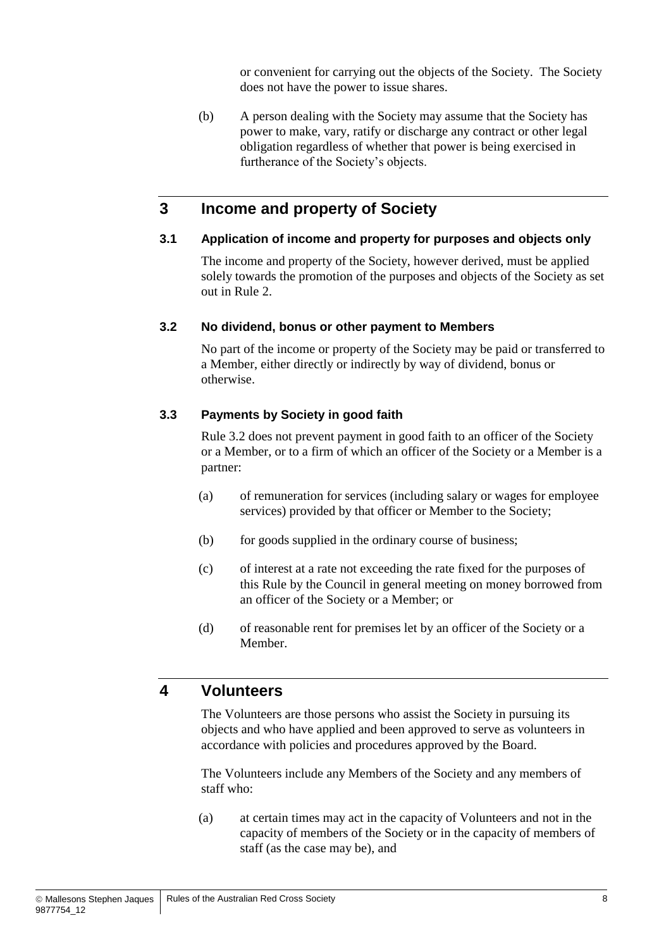or convenient for carrying out the objects of the Society. The Society does not have the power to issue shares.

(b) A person dealing with the Society may assume that the Society has power to make, vary, ratify or discharge any contract or other legal obligation regardless of whether that power is being exercised in furtherance of the Society's objects.

## **3 Income and property of Society**

#### **3.1 Application of income and property for purposes and objects only**

The income and property of the Society, however derived, must be applied solely towards the promotion of the purposes and objects of the Society as set out in Rule [2.](#page-11-0)

#### <span id="page-13-1"></span>**3.2 No dividend, bonus or other payment to Members**

No part of the income or property of the Society may be paid or transferred to a Member, either directly or indirectly by way of dividend, bonus or otherwise.

#### <span id="page-13-2"></span>**3.3 Payments by Society in good faith**

Rule [3.2](#page-13-1) does not prevent payment in good faith to an officer of the Society or a Member, or to a firm of which an officer of the Society or a Member is a partner:

- (a) of remuneration for services (including salary or wages for employee services) provided by that officer or Member to the Society;
- (b) for goods supplied in the ordinary course of business;
- (c) of interest at a rate not exceeding the rate fixed for the purposes of this Rule by the Council in general meeting on money borrowed from an officer of the Society or a Member; or
- (d) of reasonable rent for premises let by an officer of the Society or a Member.

#### <span id="page-13-0"></span>**4 Volunteers**

The Volunteers are those persons who assist the Society in pursuing its objects and who have applied and been approved to serve as volunteers in accordance with policies and procedures approved by the Board.

The Volunteers include any Members of the Society and any members of staff who:

(a) at certain times may act in the capacity of Volunteers and not in the capacity of members of the Society or in the capacity of members of staff (as the case may be), and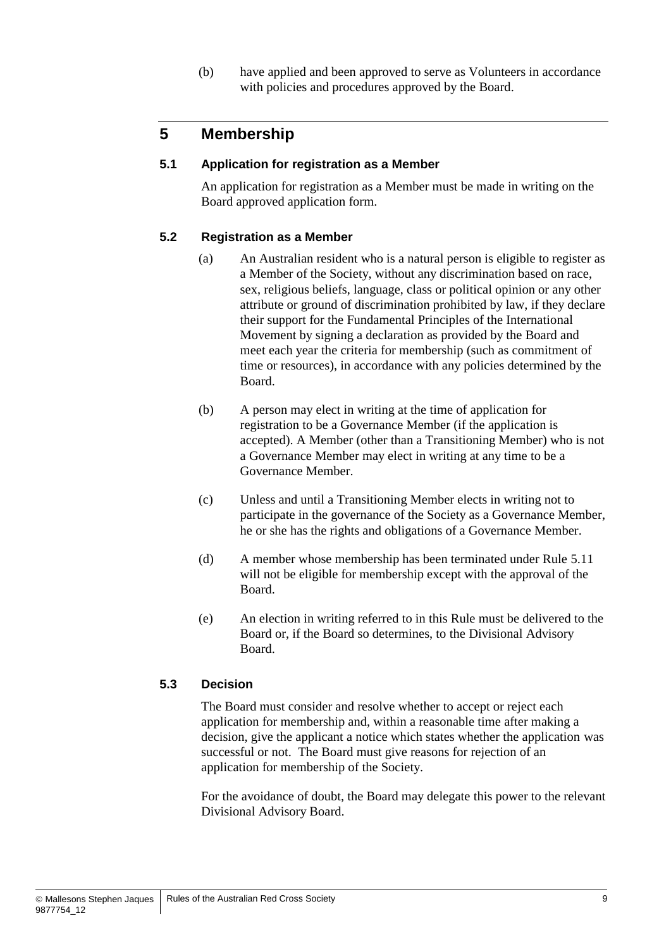(b) have applied and been approved to serve as Volunteers in accordance with policies and procedures approved by the Board.

## **5 Membership**

#### **5.1 Application for registration as a Member**

An application for registration as a Member must be made in writing on the Board approved application form.

#### <span id="page-14-0"></span>**5.2 Registration as a Member**

- (a) An Australian resident who is a natural person is eligible to register as a Member of the Society, without any discrimination based on race, sex, religious beliefs, language, class or political opinion or any other attribute or ground of discrimination prohibited by law, if they declare their support for the Fundamental Principles of the International Movement by signing a declaration as provided by the Board and meet each year the criteria for membership (such as commitment of time or resources), in accordance with any policies determined by the Board.
- (b) A person may elect in writing at the time of application for registration to be a Governance Member (if the application is accepted). A Member (other than a Transitioning Member) who is not a Governance Member may elect in writing at any time to be a Governance Member.
- (c) Unless and until a Transitioning Member elects in writing not to participate in the governance of the Society as a Governance Member, he or she has the rights and obligations of a Governance Member.
- (d) A member whose membership has been terminated under Rule [5.11](#page-16-0) will not be eligible for membership except with the approval of the Board.
- (e) An election in writing referred to in this Rule must be delivered to the Board or, if the Board so determines, to the Divisional Advisory Board.

#### <span id="page-14-1"></span>**5.3 Decision**

The Board must consider and resolve whether to accept or reject each application for membership and, within a reasonable time after making a decision, give the applicant a notice which states whether the application was successful or not. The Board must give reasons for rejection of an application for membership of the Society.

For the avoidance of doubt, the Board may delegate this power to the relevant Divisional Advisory Board.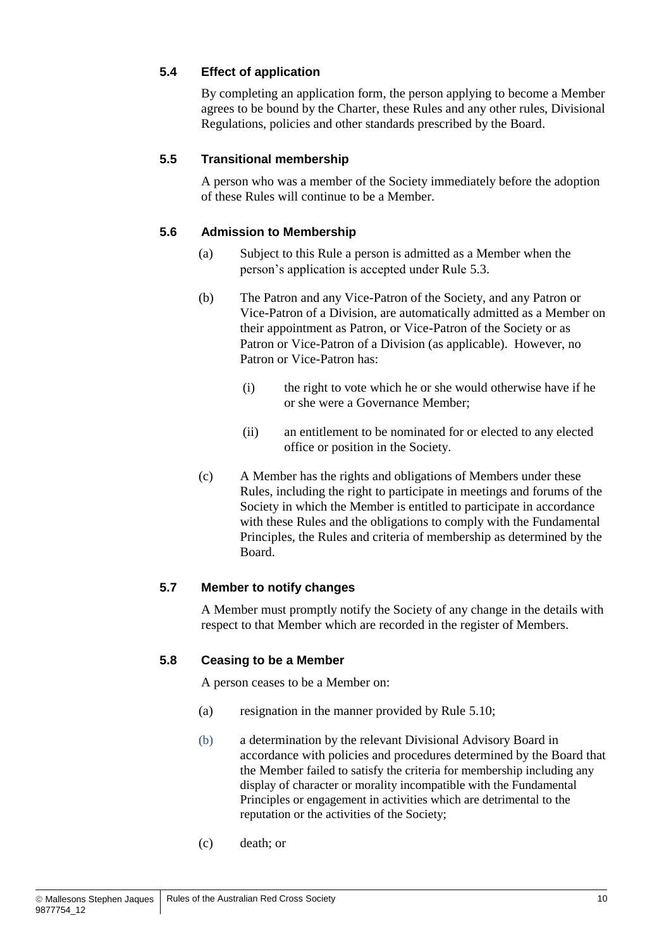#### **5.4 Effect of application**

By completing an application form, the person applying to become a Member agrees to be bound by the Charter, these Rules and any other rules, Divisional Regulations, policies and other standards prescribed by the Board.

#### **5.5 Transitional membership**

A person who was a member of the Society immediately before the adoption of these Rules will continue to be a Member.

#### **5.6 Admission to Membership**

- (a) Subject to this Rule a person is admitted as a Member when the person's application is accepted under Rule [5.3.](#page-14-1)
- (b) The Patron and any Vice-Patron of the Society, and any Patron or Vice-Patron of a Division, are automatically admitted as a Member on their appointment as Patron, or Vice-Patron of the Society or as Patron or Vice-Patron of a Division (as applicable). However, no Patron or Vice-Patron has:
	- (i) the right to vote which he or she would otherwise have if he or she were a Governance Member;
	- (ii) an entitlement to be nominated for or elected to any elected office or position in the Society.
- (c) A Member has the rights and obligations of Members under these Rules, including the right to participate in meetings and forums of the Society in which the Member is entitled to participate in accordance with these Rules and the obligations to comply with the Fundamental Principles, the Rules and criteria of membership as determined by the Board.

#### **5.7 Member to notify changes**

A Member must promptly notify the Society of any change in the details with respect to that Member which are recorded in the register of Members.

#### **5.8 Ceasing to be a Member**

A person ceases to be a Member on:

- (a) resignation in the manner provided by Rule [5.10;](#page-16-1)
- (b) a determination by the relevant Divisional Advisory Board in accordance with policies and procedures determined by the Board that the Member failed to satisfy the criteria for membership including any display of character or morality incompatible with the Fundamental Principles or engagement in activities which are detrimental to the reputation or the activities of the Society;
- (c) death; or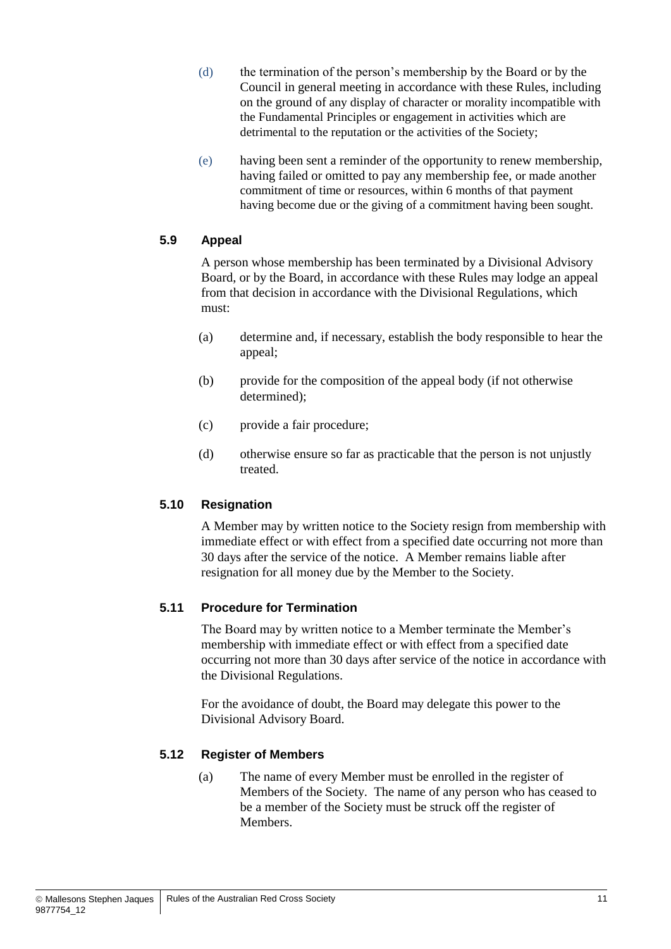- (d) the termination of the person's membership by the Board or by the Council in general meeting in accordance with these Rules, including on the ground of any display of character or morality incompatible with the Fundamental Principles or engagement in activities which are detrimental to the reputation or the activities of the Society;
- (e) having been sent a reminder of the opportunity to renew membership, having failed or omitted to pay any membership fee, or made another commitment of time or resources, within 6 months of that payment having become due or the giving of a commitment having been sought.

#### **5.9 Appeal**

A person whose membership has been terminated by a Divisional Advisory Board, or by the Board, in accordance with these Rules may lodge an appeal from that decision in accordance with the Divisional Regulations, which must:

- (a) determine and, if necessary, establish the body responsible to hear the appeal;
- (b) provide for the composition of the appeal body (if not otherwise determined);
- (c) provide a fair procedure;
- (d) otherwise ensure so far as practicable that the person is not unjustly treated.

#### <span id="page-16-1"></span>**5.10 Resignation**

A Member may by written notice to the Society resign from membership with immediate effect or with effect from a specified date occurring not more than 30 days after the service of the notice. A Member remains liable after resignation for all money due by the Member to the Society.

#### <span id="page-16-0"></span>**5.11 Procedure for Termination**

The Board may by written notice to a Member terminate the Member's membership with immediate effect or with effect from a specified date occurring not more than 30 days after service of the notice in accordance with the Divisional Regulations.

For the avoidance of doubt, the Board may delegate this power to the Divisional Advisory Board.

#### **5.12 Register of Members**

(a) The name of every Member must be enrolled in the register of Members of the Society. The name of any person who has ceased to be a member of the Society must be struck off the register of **Members**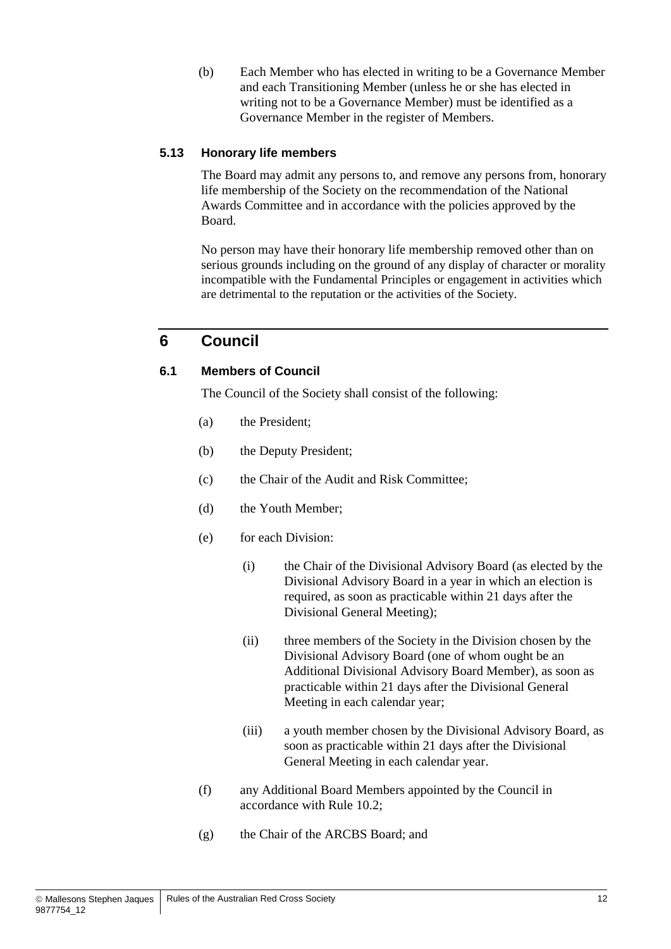(b) Each Member who has elected in writing to be a Governance Member and each Transitioning Member (unless he or she has elected in writing not to be a Governance Member) must be identified as a Governance Member in the register of Members.

#### **5.13 Honorary life members**

The Board may admit any persons to, and remove any persons from, honorary life membership of the Society on the recommendation of the National Awards Committee and in accordance with the policies approved by the Board.

No person may have their honorary life membership removed other than on serious grounds including on the ground of any display of character or morality incompatible with the Fundamental Principles or engagement in activities which are detrimental to the reputation or the activities of the Society.

## <span id="page-17-2"></span>**6 Council**

#### <span id="page-17-0"></span>**6.1 Members of Council**

The Council of the Society shall consist of the following:

- (a) the President;
- (b) the Deputy President;
- (c) the Chair of the Audit and Risk Committee;
- (d) the Youth Member;
- <span id="page-17-1"></span>(e) for each Division:
	- (i) the Chair of the Divisional Advisory Board (as elected by the Divisional Advisory Board in a year in which an election is required, as soon as practicable within 21 days after the Divisional General Meeting);
	- (ii) three members of the Society in the Division chosen by the Divisional Advisory Board (one of whom ought be an Additional Divisional Advisory Board Member), as soon as practicable within 21 days after the Divisional General Meeting in each calendar year;
	- (iii) a youth member chosen by the Divisional Advisory Board, as soon as practicable within 21 days after the Divisional General Meeting in each calendar year.
- (f) any Additional Board Members appointed by the Council in accordance with Rule [10.2;](#page-31-0)
- (g) the Chair of the ARCBS Board; and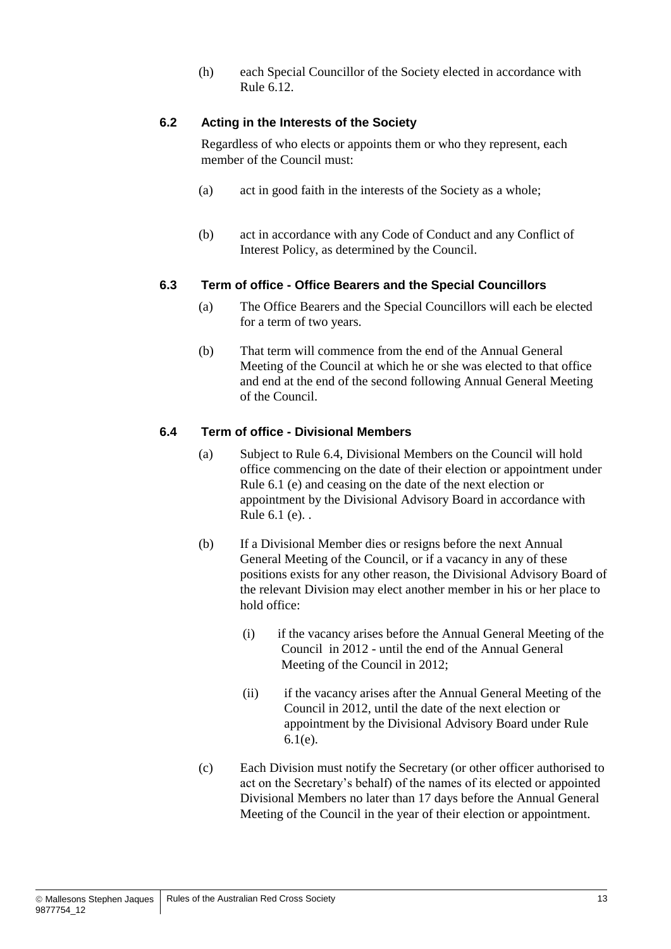(h) each Special Councillor of the Society elected in accordance with Rule [6.12.](#page-21-0)

#### **6.2 Acting in the Interests of the Society**

Regardless of who elects or appoints them or who they represent, each member of the Council must:

- (a) act in good faith in the interests of the Society as a whole;
- (b) act in accordance with any Code of Conduct and any Conflict of Interest Policy, as determined by the Council.

#### **6.3 Term of office - Office Bearers and the Special Councillors**

- (a) The Office Bearers and the Special Councillors will each be elected for a term of two years.
- (b) That term will commence from the end of the Annual General Meeting of the Council at which he or she was elected to that office and end at the end of the second following Annual General Meeting of the Council.

#### **6.4 Term of office - Divisional Members**

- (a) Subject to Rule 6.4, Divisional Members on the Council will hold office commencing on the date of their election or appointment under Rule 6.1 (e) and ceasing on the date of the next election or appointment by the Divisional Advisory Board in accordance with Rule 6.1 (e). .
- <span id="page-18-0"></span>(b) If a Divisional Member dies or resigns before the next Annual General Meeting of the Council, or if a vacancy in any of these positions exists for any other reason, the Divisional Advisory Board of the relevant Division may elect another member in his or her place to hold office:
	- (i) if the vacancy arises before the Annual General Meeting of the Council in 2012 - until the end of the Annual General Meeting of the Council in 2012;
	- (ii) if the vacancy arises after the Annual General Meeting of the Council in 2012, until the date of the next election or appointment by the Divisional Advisory Board under Rule 6.1(e).
- (c) Each Division must notify the Secretary (or other officer authorised to act on the Secretary's behalf) of the names of its elected or appointed Divisional Members no later than 17 days before the Annual General Meeting of the Council in the year of their election or appointment.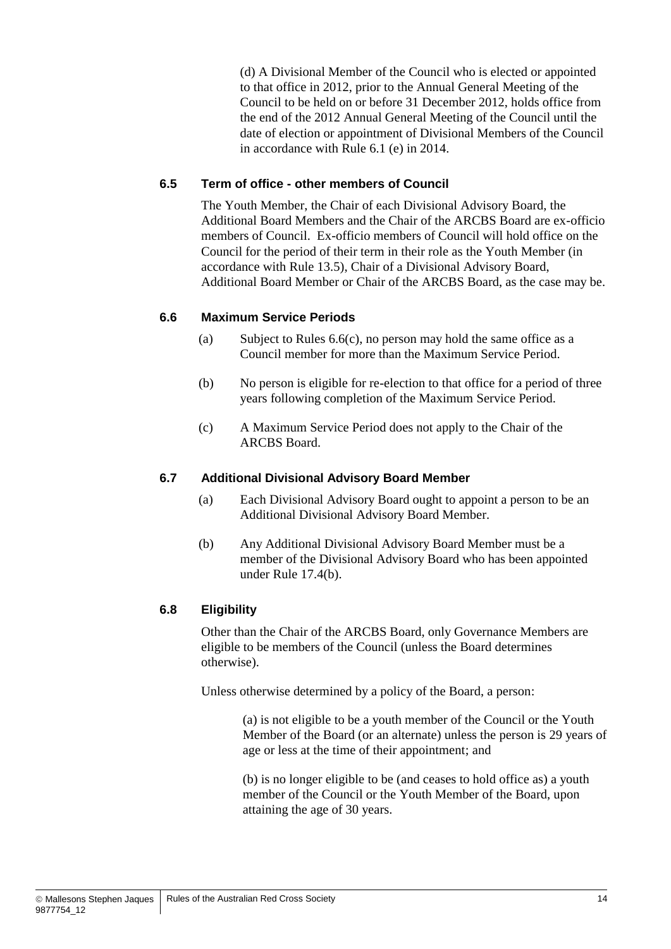(d) A Divisional Member of the Council who is elected or appointed to that office in 2012, prior to the Annual General Meeting of the Council to be held on or before 31 December 2012, holds office from the end of the 2012 Annual General Meeting of the Council until the date of election or appointment of Divisional Members of the Council in accordance with Rule 6.1 (e) in 2014.

#### **6.5 Term of office - other members of Council**

The Youth Member, the Chair of each Divisional Advisory Board, the Additional Board Members and the Chair of the ARCBS Board are ex-officio members of Council. Ex-officio members of Council will hold office on the Council for the period of their term in their role as the Youth Member (in accordance with Rule 13.5), Chair of a Divisional Advisory Board, Additional Board Member or Chair of the ARCBS Board, as the case may be.

#### **6.6 Maximum Service Periods**

- (a) Subject to Rules  $6.6(c)$ , no person may hold the same office as a Council member for more than the Maximum Service Period.
- (b) No person is eligible for re-election to that office for a period of three years following completion of the Maximum Service Period.
- <span id="page-19-1"></span>(c) A Maximum Service Period does not apply to the Chair of the ARCBS Board.

#### <span id="page-19-0"></span>**6.7 Additional Divisional Advisory Board Member**

- (a) Each Divisional Advisory Board ought to appoint a person to be an Additional Divisional Advisory Board Member.
- (b) Any Additional Divisional Advisory Board Member must be a member of the Divisional Advisory Board who has been appointed under Rule [17.4\(b\).](#page-42-2)

#### <span id="page-19-2"></span>**6.8 Eligibility**

Other than the Chair of the ARCBS Board, only Governance Members are eligible to be members of the Council (unless the Board determines otherwise).

Unless otherwise determined by a policy of the Board, a person:

(a) is not eligible to be a youth member of the Council or the Youth Member of the Board (or an alternate) unless the person is 29 years of age or less at the time of their appointment; and

(b) is no longer eligible to be (and ceases to hold office as) a youth member of the Council or the Youth Member of the Board, upon attaining the age of 30 years.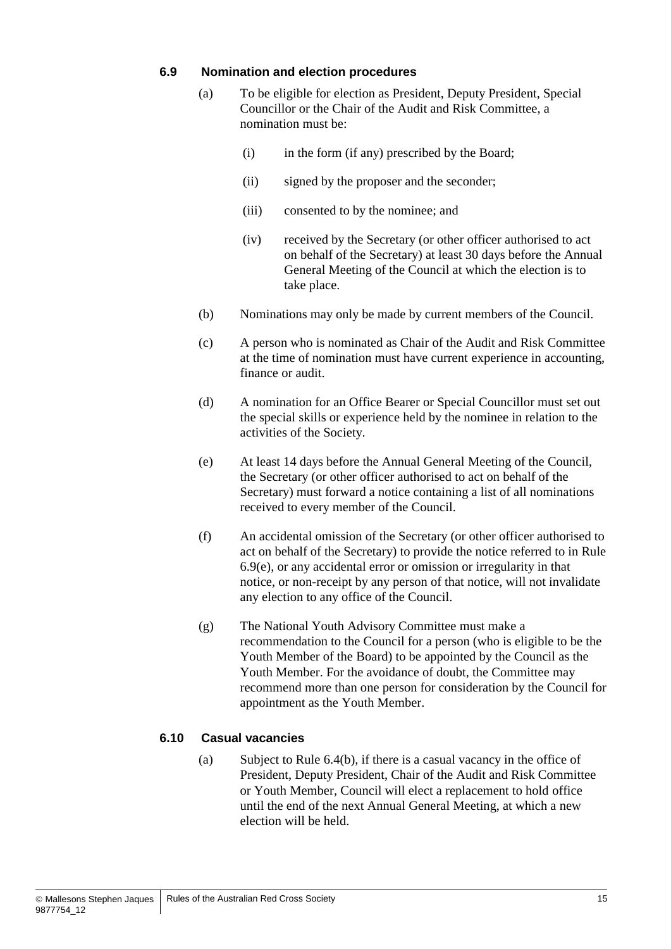#### **6.9 Nomination and election procedures**

- (a) To be eligible for election as President, Deputy President, Special Councillor or the Chair of the Audit and Risk Committee, a nomination must be:
	- (i) in the form (if any) prescribed by the Board;
	- (ii) signed by the proposer and the seconder;
	- (iii) consented to by the nominee; and
	- (iv) received by the Secretary (or other officer authorised to act on behalf of the Secretary) at least 30 days before the Annual General Meeting of the Council at which the election is to take place.
- (b) Nominations may only be made by current members of the Council.
- (c) A person who is nominated as Chair of the Audit and Risk Committee at the time of nomination must have current experience in accounting, finance or audit.
- (d) A nomination for an Office Bearer or Special Councillor must set out the special skills or experience held by the nominee in relation to the activities of the Society.
- <span id="page-20-1"></span>(e) At least 14 days before the Annual General Meeting of the Council, the Secretary (or other officer authorised to act on behalf of the Secretary) must forward a notice containing a list of all nominations received to every member of the Council.
- (f) An accidental omission of the Secretary (or other officer authorised to act on behalf of the Secretary) to provide the notice referred to in Rule [6.9\(e\),](#page-20-1) or any accidental error or omission or irregularity in that notice, or non-receipt by any person of that notice, will not invalidate any election to any office of the Council.
- <span id="page-20-0"></span>(g) The National Youth Advisory Committee must make a recommendation to the Council for a person (who is eligible to be the Youth Member of the Board) to be appointed by the Council as the Youth Member. For the avoidance of doubt, the Committee may recommend more than one person for consideration by the Council for appointment as the Youth Member.

#### <span id="page-20-2"></span>**6.10 Casual vacancies**

(a) Subject to Rule [6.4\(b\),](#page-18-0) if there is a casual vacancy in the office of President, Deputy President, Chair of the Audit and Risk Committee or Youth Member, Council will elect a replacement to hold office until the end of the next Annual General Meeting, at which a new election will be held.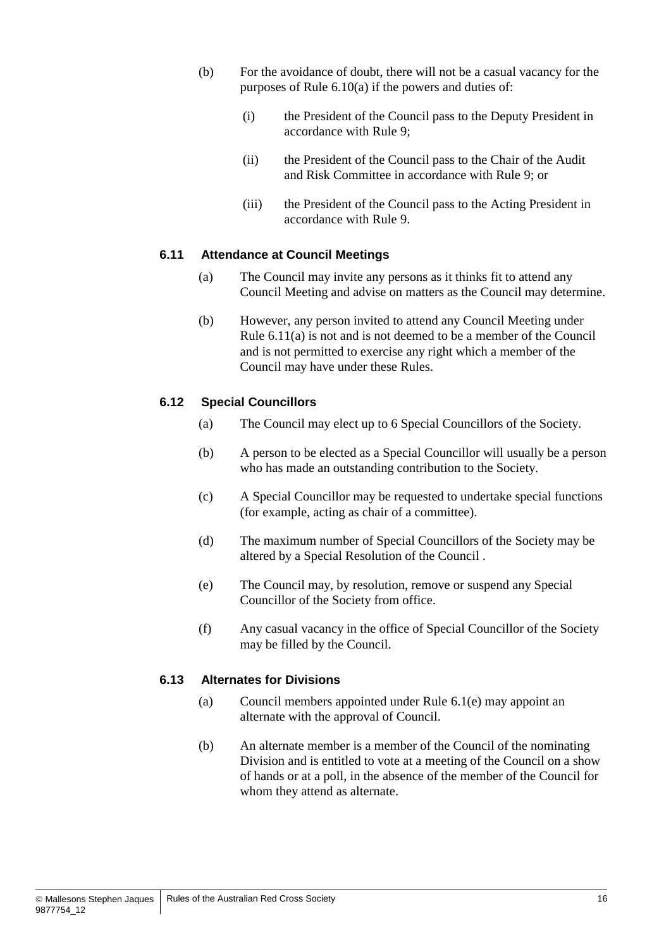- (b) For the avoidance of doubt, there will not be a casual vacancy for the purposes of Rule [6.10\(a\)](#page-20-2) if the powers and duties of:
	- (i) the President of the Council pass to the Deputy President in accordance with Rule [9;](#page-29-0)
	- (ii) the President of the Council pass to the Chair of the Audit and Risk Committee in accordance with Rule [9;](#page-29-0) or
	- (iii) the President of the Council pass to the Acting President in accordance with Rule [9.](#page-29-0)

#### <span id="page-21-1"></span>**6.11 Attendance at Council Meetings**

- (a) The Council may invite any persons as it thinks fit to attend any Council Meeting and advise on matters as the Council may determine.
- (b) However, any person invited to attend any Council Meeting under Rule [6.11\(a\)](#page-21-1) is not and is not deemed to be a member of the Council and is not permitted to exercise any right which a member of the Council may have under these Rules.

#### <span id="page-21-0"></span>**6.12 Special Councillors**

- (a) The Council may elect up to 6 Special Councillors of the Society.
- (b) A person to be elected as a Special Councillor will usually be a person who has made an outstanding contribution to the Society.
- (c) A Special Councillor may be requested to undertake special functions (for example, acting as chair of a committee).
- (d) The maximum number of Special Councillors of the Society may be altered by a Special Resolution of the Council .
- (e) The Council may, by resolution, remove or suspend any Special Councillor of the Society from office.
- (f) Any casual vacancy in the office of Special Councillor of the Society may be filled by the Council.

#### <span id="page-21-2"></span>**6.13 Alternates for Divisions**

- (a) Council members appointed under Rule [6.1\(e\)](#page-17-1) may appoint an alternate with the approval of Council.
- (b) An alternate member is a member of the Council of the nominating Division and is entitled to vote at a meeting of the Council on a show of hands or at a poll, in the absence of the member of the Council for whom they attend as alternate.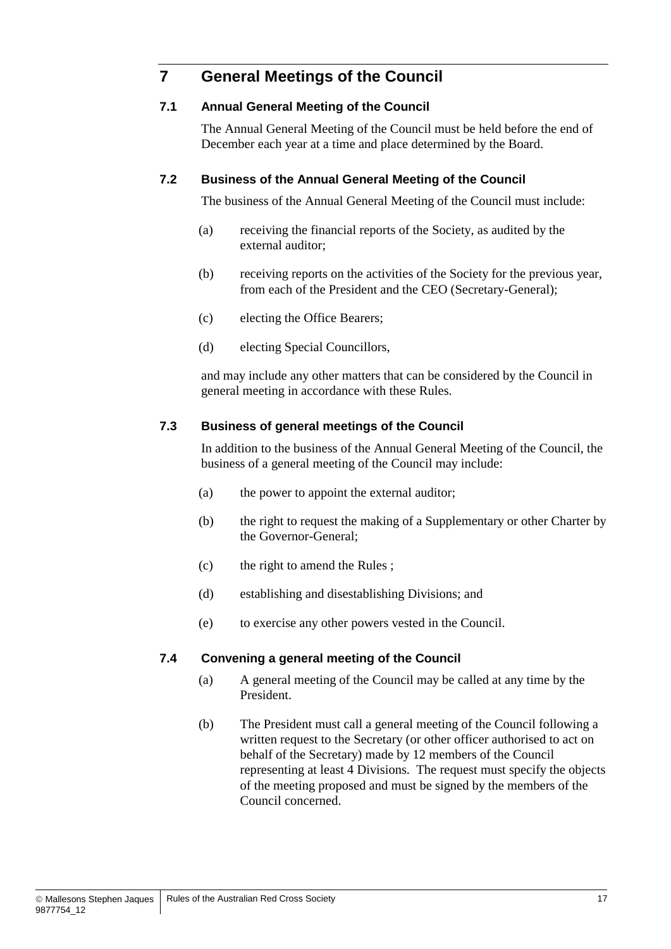## **7 General Meetings of the Council**

#### **7.1 Annual General Meeting of the Council**

The Annual General Meeting of the Council must be held before the end of December each year at a time and place determined by the Board.

#### <span id="page-22-1"></span>**7.2 Business of the Annual General Meeting of the Council**

The business of the Annual General Meeting of the Council must include:

- (a) receiving the financial reports of the Society, as audited by the external auditor;
- (b) receiving reports on the activities of the Society for the previous year, from each of the President and the CEO (Secretary-General);
- (c) electing the Office Bearers;
- (d) electing Special Councillors,

and may include any other matters that can be considered by the Council in general meeting in accordance with these Rules.

#### **7.3 Business of general meetings of the Council**

In addition to the business of the Annual General Meeting of the Council, the business of a general meeting of the Council may include:

- (a) the power to appoint the external auditor;
- (b) the right to request the making of a Supplementary or other Charter by the Governor-General;
- (c) the right to amend the Rules ;
- (d) establishing and disestablishing Divisions; and
- (e) to exercise any other powers vested in the Council.

#### **7.4 Convening a general meeting of the Council**

- (a) A general meeting of the Council may be called at any time by the President.
- <span id="page-22-0"></span>(b) The President must call a general meeting of the Council following a written request to the Secretary (or other officer authorised to act on behalf of the Secretary) made by 12 members of the Council representing at least 4 Divisions. The request must specify the objects of the meeting proposed and must be signed by the members of the Council concerned.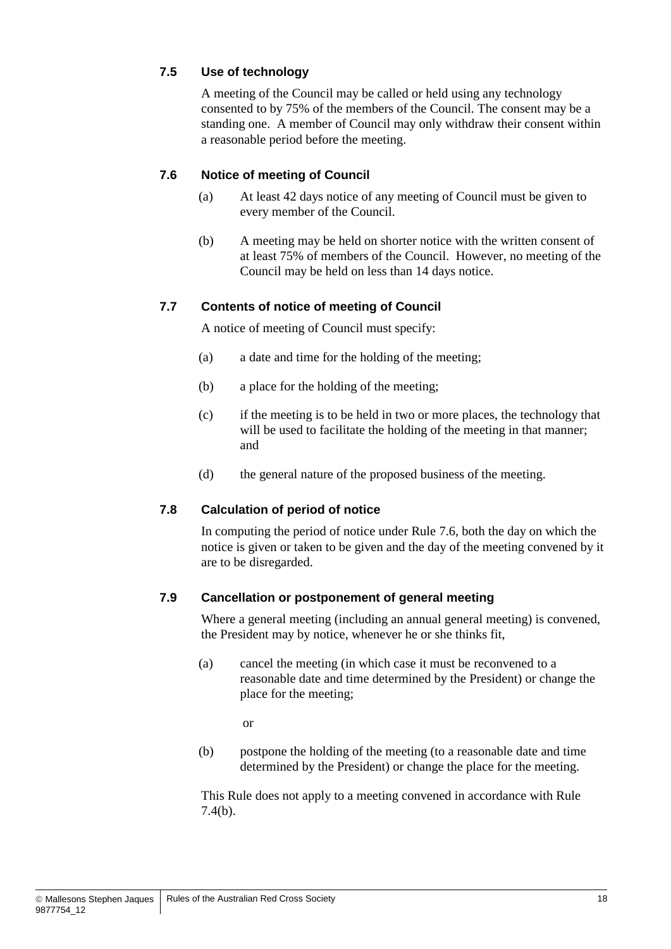#### **7.5 Use of technology**

A meeting of the Council may be called or held using any technology consented to by 75% of the members of the Council. The consent may be a standing one. A member of Council may only withdraw their consent within a reasonable period before the meeting.

#### **7.6 Notice of meeting of Council**

- (a) At least 42 days notice of any meeting of Council must be given to every member of the Council.
- (b) A meeting may be held on shorter notice with the written consent of at least 75% of members of the Council. However, no meeting of the Council may be held on less than 14 days notice.

#### **7.7 Contents of notice of meeting of Council**

A notice of meeting of Council must specify:

- (a) a date and time for the holding of the meeting;
- (b) a place for the holding of the meeting;
- (c) if the meeting is to be held in two or more places, the technology that will be used to facilitate the holding of the meeting in that manner; and
- (d) the general nature of the proposed business of the meeting.

#### **7.8 Calculation of period of notice**

In computing the period of notice under Rule 7.6, both the day on which the notice is given or taken to be given and the day of the meeting convened by it are to be disregarded.

#### **7.9 Cancellation or postponement of general meeting**

Where a general meeting (including an annual general meeting) is convened, the President may by notice, whenever he or she thinks fit,

(a) cancel the meeting (in which case it must be reconvened to a reasonable date and time determined by the President) or change the place for the meeting;

or

(b) postpone the holding of the meeting (to a reasonable date and time determined by the President) or change the place for the meeting.

This Rule does not apply to a meeting convened in accordance with Rule [7.4\(b\).](#page-22-0)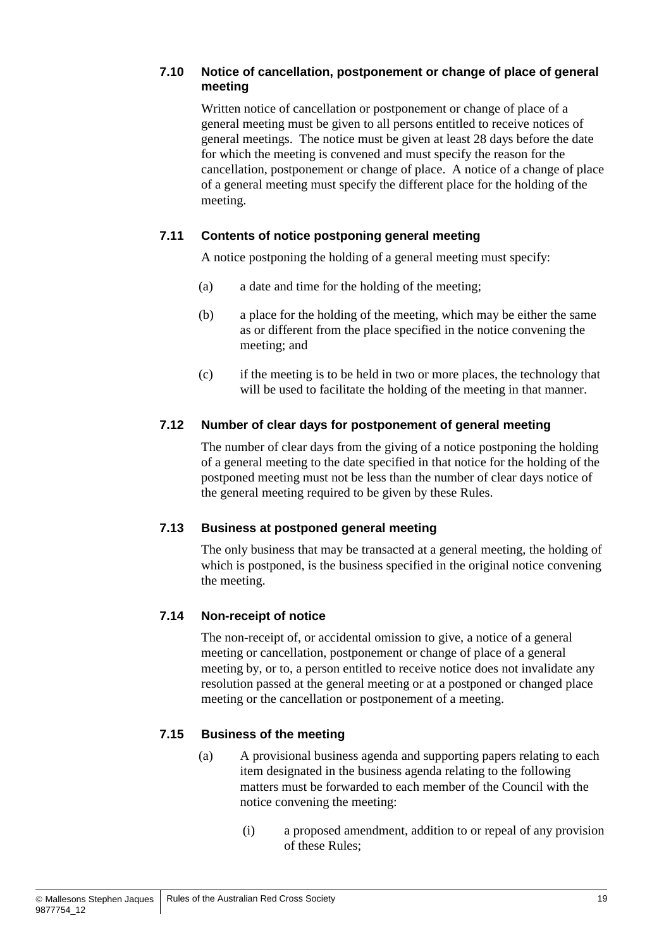#### **7.10 Notice of cancellation, postponement or change of place of general meeting**

Written notice of cancellation or postponement or change of place of a general meeting must be given to all persons entitled to receive notices of general meetings. The notice must be given at least 28 days before the date for which the meeting is convened and must specify the reason for the cancellation, postponement or change of place. A notice of a change of place of a general meeting must specify the different place for the holding of the meeting.

#### **7.11 Contents of notice postponing general meeting**

A notice postponing the holding of a general meeting must specify:

- (a) a date and time for the holding of the meeting;
- (b) a place for the holding of the meeting, which may be either the same as or different from the place specified in the notice convening the meeting; and
- (c) if the meeting is to be held in two or more places, the technology that will be used to facilitate the holding of the meeting in that manner.

#### **7.12 Number of clear days for postponement of general meeting**

The number of clear days from the giving of a notice postponing the holding of a general meeting to the date specified in that notice for the holding of the postponed meeting must not be less than the number of clear days notice of the general meeting required to be given by these Rules.

#### **7.13 Business at postponed general meeting**

The only business that may be transacted at a general meeting, the holding of which is postponed, is the business specified in the original notice convening the meeting.

#### **7.14 Non-receipt of notice**

The non-receipt of, or accidental omission to give, a notice of a general meeting or cancellation, postponement or change of place of a general meeting by, or to, a person entitled to receive notice does not invalidate any resolution passed at the general meeting or at a postponed or changed place meeting or the cancellation or postponement of a meeting.

#### <span id="page-24-0"></span>**7.15 Business of the meeting**

- (a) A provisional business agenda and supporting papers relating to each item designated in the business agenda relating to the following matters must be forwarded to each member of the Council with the notice convening the meeting:
	- (i) a proposed amendment, addition to or repeal of any provision of these Rules;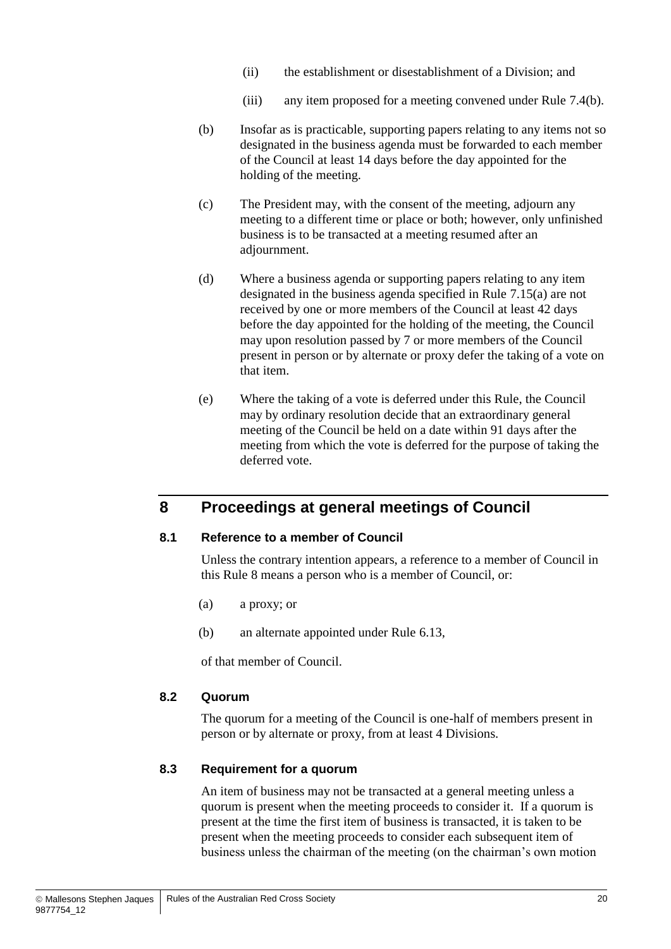- (ii) the establishment or disestablishment of a Division; and
- (iii) any item proposed for a meeting convened under Rule [7.4\(b\).](#page-22-0)
- (b) Insofar as is practicable, supporting papers relating to any items not so designated in the business agenda must be forwarded to each member of the Council at least 14 days before the day appointed for the holding of the meeting.
- (c) The President may, with the consent of the meeting, adjourn any meeting to a different time or place or both; however, only unfinished business is to be transacted at a meeting resumed after an adjournment.
- (d) Where a business agenda or supporting papers relating to any item designated in the business agenda specified in Rule [7.15\(a\)](#page-24-0) are not received by one or more members of the Council at least 42 days before the day appointed for the holding of the meeting, the Council may upon resolution passed by 7 or more members of the Council present in person or by alternate or proxy defer the taking of a vote on that item.
- (e) Where the taking of a vote is deferred under this Rule, the Council may by ordinary resolution decide that an extraordinary general meeting of the Council be held on a date within 91 days after the meeting from which the vote is deferred for the purpose of taking the deferred vote.

## <span id="page-25-0"></span>**8 Proceedings at general meetings of Council**

#### **8.1 Reference to a member of Council**

Unless the contrary intention appears, a reference to a member of Council in this Rule [8](#page-25-0) means a person who is a member of Council, or:

- (a) a proxy; or
- (b) an alternate appointed under Rule [6.13,](#page-21-2)

of that member of Council.

#### **8.2 Quorum**

The quorum for a meeting of the Council is one-half of members present in person or by alternate or proxy, from at least 4 Divisions.

#### **8.3 Requirement for a quorum**

An item of business may not be transacted at a general meeting unless a quorum is present when the meeting proceeds to consider it. If a quorum is present at the time the first item of business is transacted, it is taken to be present when the meeting proceeds to consider each subsequent item of business unless the chairman of the meeting (on the chairman's own motion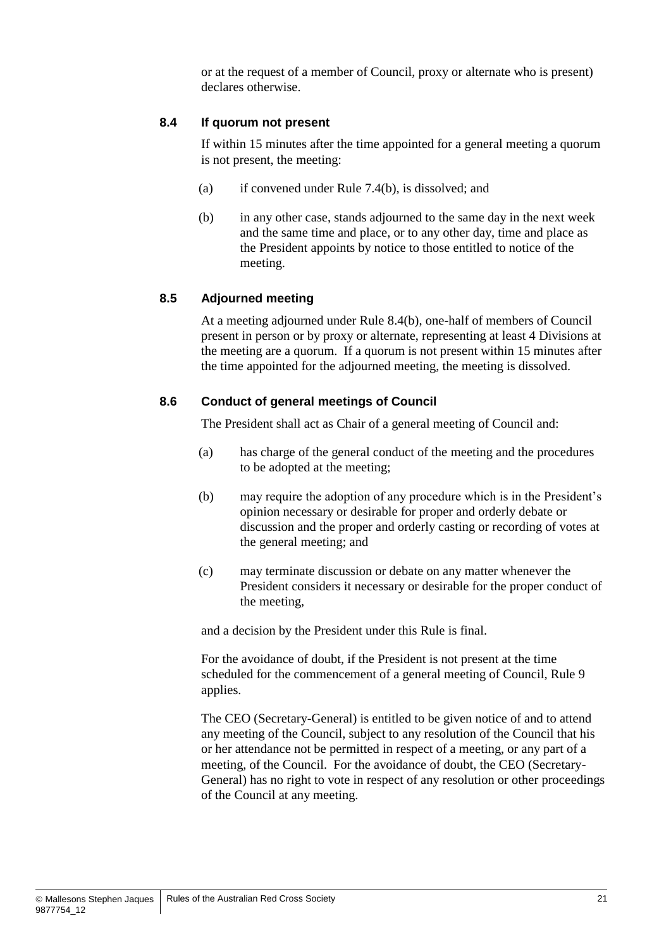or at the request of a member of Council, proxy or alternate who is present) declares otherwise.

#### **8.4 If quorum not present**

If within 15 minutes after the time appointed for a general meeting a quorum is not present, the meeting:

- (a) if convened under Rule [7.4\(b\),](#page-22-0) is dissolved; and
- <span id="page-26-0"></span>(b) in any other case, stands adjourned to the same day in the next week and the same time and place, or to any other day, time and place as the President appoints by notice to those entitled to notice of the meeting.

#### **8.5 Adjourned meeting**

At a meeting adjourned under Rule [8.4\(b\),](#page-26-0) one-half of members of Council present in person or by proxy or alternate, representing at least 4 Divisions at the meeting are a quorum. If a quorum is not present within 15 minutes after the time appointed for the adjourned meeting, the meeting is dissolved.

#### **8.6 Conduct of general meetings of Council**

The President shall act as Chair of a general meeting of Council and:

- (a) has charge of the general conduct of the meeting and the procedures to be adopted at the meeting;
- (b) may require the adoption of any procedure which is in the President's opinion necessary or desirable for proper and orderly debate or discussion and the proper and orderly casting or recording of votes at the general meeting; and
- (c) may terminate discussion or debate on any matter whenever the President considers it necessary or desirable for the proper conduct of the meeting,

and a decision by the President under this Rule is final.

For the avoidance of doubt, if the President is not present at the time scheduled for the commencement of a general meeting of Council, Rule 9 applies.

The CEO (Secretary-General) is entitled to be given notice of and to attend any meeting of the Council, subject to any resolution of the Council that his or her attendance not be permitted in respect of a meeting, or any part of a meeting, of the Council. For the avoidance of doubt, the CEO (Secretary-General) has no right to vote in respect of any resolution or other proceedings of the Council at any meeting.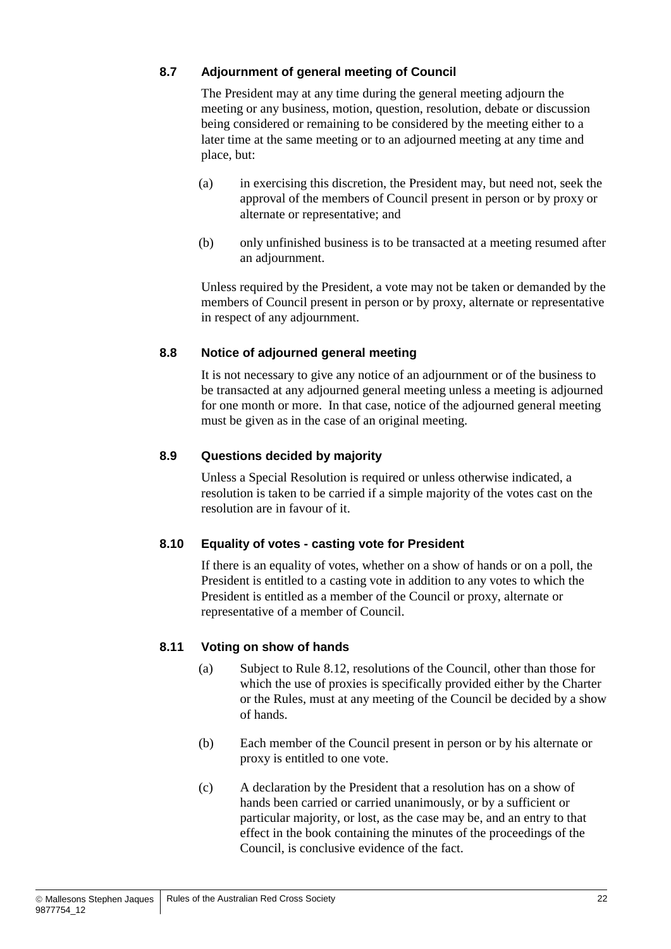#### **8.7 Adjournment of general meeting of Council**

The President may at any time during the general meeting adjourn the meeting or any business, motion, question, resolution, debate or discussion being considered or remaining to be considered by the meeting either to a later time at the same meeting or to an adjourned meeting at any time and place, but:

- (a) in exercising this discretion, the President may, but need not, seek the approval of the members of Council present in person or by proxy or alternate or representative; and
- (b) only unfinished business is to be transacted at a meeting resumed after an adjournment.

Unless required by the President, a vote may not be taken or demanded by the members of Council present in person or by proxy, alternate or representative in respect of any adjournment.

#### **8.8 Notice of adjourned general meeting**

It is not necessary to give any notice of an adjournment or of the business to be transacted at any adjourned general meeting unless a meeting is adjourned for one month or more. In that case, notice of the adjourned general meeting must be given as in the case of an original meeting.

#### **8.9 Questions decided by majority**

Unless a Special Resolution is required or unless otherwise indicated, a resolution is taken to be carried if a simple majority of the votes cast on the resolution are in favour of it.

#### **8.10 Equality of votes - casting vote for President**

If there is an equality of votes, whether on a show of hands or on a poll, the President is entitled to a casting vote in addition to any votes to which the President is entitled as a member of the Council or proxy, alternate or representative of a member of Council.

#### **8.11 Voting on show of hands**

- (a) Subject to Rule [8.12,](#page-28-0) resolutions of the Council, other than those for which the use of proxies is specifically provided either by the Charter or the Rules, must at any meeting of the Council be decided by a show of hands.
- (b) Each member of the Council present in person or by his alternate or proxy is entitled to one vote.
- (c) A declaration by the President that a resolution has on a show of hands been carried or carried unanimously, or by a sufficient or particular majority, or lost, as the case may be, and an entry to that effect in the book containing the minutes of the proceedings of the Council, is conclusive evidence of the fact.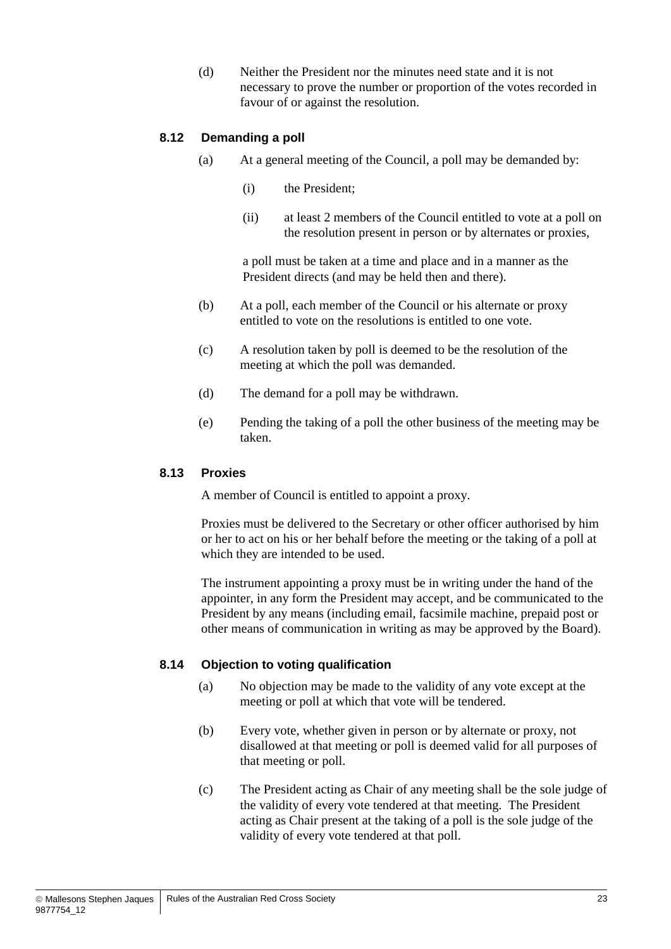(d) Neither the President nor the minutes need state and it is not necessary to prove the number or proportion of the votes recorded in favour of or against the resolution.

#### <span id="page-28-0"></span>**8.12 Demanding a poll**

- (a) At a general meeting of the Council, a poll may be demanded by:
	- (i) the President;
	- (ii) at least 2 members of the Council entitled to vote at a poll on the resolution present in person or by alternates or proxies,

a poll must be taken at a time and place and in a manner as the President directs (and may be held then and there).

- (b) At a poll, each member of the Council or his alternate or proxy entitled to vote on the resolutions is entitled to one vote.
- (c) A resolution taken by poll is deemed to be the resolution of the meeting at which the poll was demanded.
- (d) The demand for a poll may be withdrawn.
- (e) Pending the taking of a poll the other business of the meeting may be taken.

#### **8.13 Proxies**

A member of Council is entitled to appoint a proxy.

Proxies must be delivered to the Secretary or other officer authorised by him or her to act on his or her behalf before the meeting or the taking of a poll at which they are intended to be used.

The instrument appointing a proxy must be in writing under the hand of the appointer, in any form the President may accept, and be communicated to the President by any means (including email, facsimile machine, prepaid post or other means of communication in writing as may be approved by the Board).

#### **8.14 Objection to voting qualification**

- (a) No objection may be made to the validity of any vote except at the meeting or poll at which that vote will be tendered.
- (b) Every vote, whether given in person or by alternate or proxy, not disallowed at that meeting or poll is deemed valid for all purposes of that meeting or poll.
- (c) The President acting as Chair of any meeting shall be the sole judge of the validity of every vote tendered at that meeting. The President acting as Chair present at the taking of a poll is the sole judge of the validity of every vote tendered at that poll.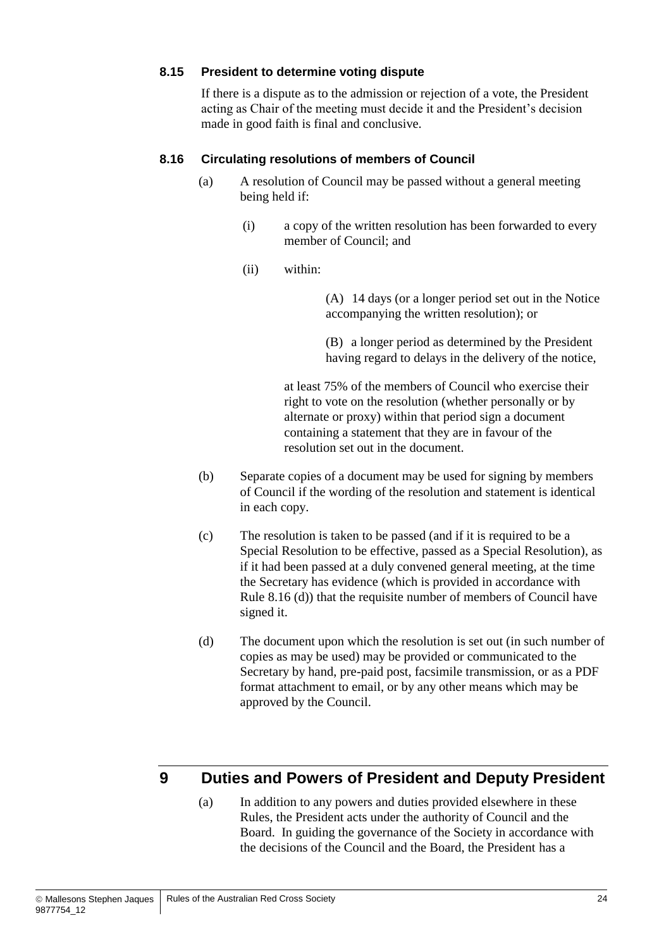#### **8.15 President to determine voting dispute**

If there is a dispute as to the admission or rejection of a vote, the President acting as Chair of the meeting must decide it and the President's decision made in good faith is final and conclusive.

#### **8.16 Circulating resolutions of members of Council**

- (a) A resolution of Council may be passed without a general meeting being held if:
	- (i) a copy of the written resolution has been forwarded to every member of Council; and
	- (ii) within:

(A) 14 days (or a longer period set out in the Notice accompanying the written resolution); or

(B) a longer period as determined by the President having regard to delays in the delivery of the notice,

at least 75% of the members of Council who exercise their right to vote on the resolution (whether personally or by alternate or proxy) within that period sign a document containing a statement that they are in favour of the resolution set out in the document.

- (b) Separate copies of a document may be used for signing by members of Council if the wording of the resolution and statement is identical in each copy.
- (c) The resolution is taken to be passed (and if it is required to be a Special Resolution to be effective, passed as a Special Resolution), as if it had been passed at a duly convened general meeting, at the time the Secretary has evidence (which is provided in accordance with Rule 8.16 (d)) that the requisite number of members of Council have signed it.
- (d) The document upon which the resolution is set out (in such number of copies as may be used) may be provided or communicated to the Secretary by hand, pre-paid post, facsimile transmission, or as a PDF format attachment to email, or by any other means which may be approved by the Council.

## <span id="page-29-0"></span>**9 Duties and Powers of President and Deputy President**

(a) In addition to any powers and duties provided elsewhere in these Rules, the President acts under the authority of Council and the Board. In guiding the governance of the Society in accordance with the decisions of the Council and the Board, the President has a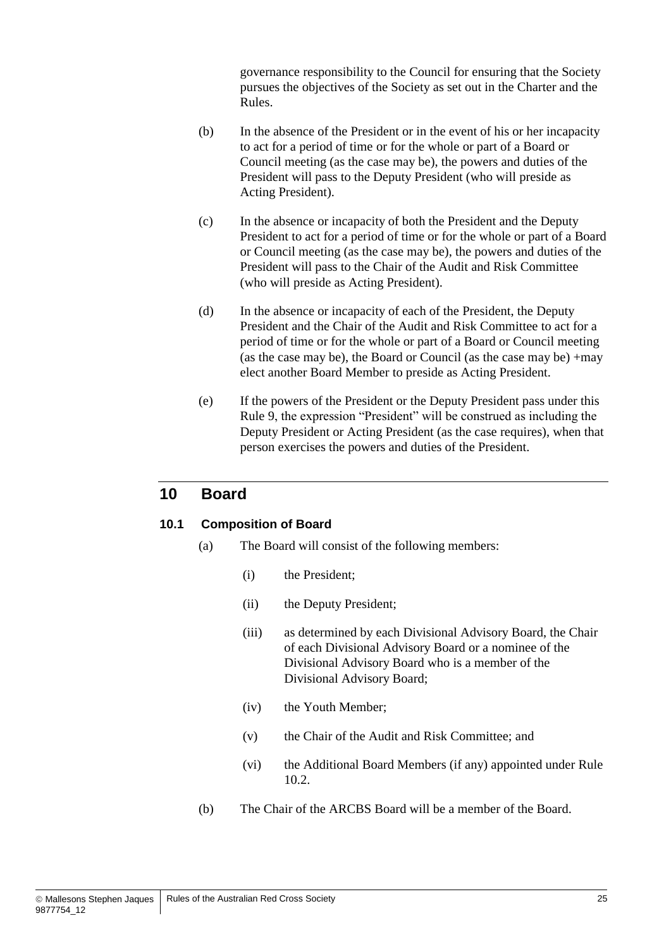governance responsibility to the Council for ensuring that the Society pursues the objectives of the Society as set out in the Charter and the Rules.

- (b) In the absence of the President or in the event of his or her incapacity to act for a period of time or for the whole or part of a Board or Council meeting (as the case may be), the powers and duties of the President will pass to the Deputy President (who will preside as Acting President).
- (c) In the absence or incapacity of both the President and the Deputy President to act for a period of time or for the whole or part of a Board or Council meeting (as the case may be), the powers and duties of the President will pass to the Chair of the Audit and Risk Committee (who will preside as Acting President).
- (d) In the absence or incapacity of each of the President, the Deputy President and the Chair of the Audit and Risk Committee to act for a period of time or for the whole or part of a Board or Council meeting (as the case may be), the Board or Council (as the case may be) +may elect another Board Member to preside as Acting President.
- (e) If the powers of the President or the Deputy President pass under this Rule [9,](#page-29-0) the expression "President" will be construed as including the Deputy President or Acting President (as the case requires), when that person exercises the powers and duties of the President.

## **10 Board**

#### <span id="page-30-0"></span>**10.1 Composition of Board**

- <span id="page-30-1"></span>(a) The Board will consist of the following members:
	- (i) the President;
	- (ii) the Deputy President;
	- (iii) as determined by each Divisional Advisory Board, the Chair of each Divisional Advisory Board or a nominee of the Divisional Advisory Board who is a member of the Divisional Advisory Board;
	- (iv) the Youth Member;
	- (v) the Chair of the Audit and Risk Committee; and
	- (vi) the Additional Board Members (if any) appointed under Rule [10.2.](#page-31-0)
- <span id="page-30-4"></span><span id="page-30-3"></span><span id="page-30-2"></span>(b) The Chair of the ARCBS Board will be a member of the Board.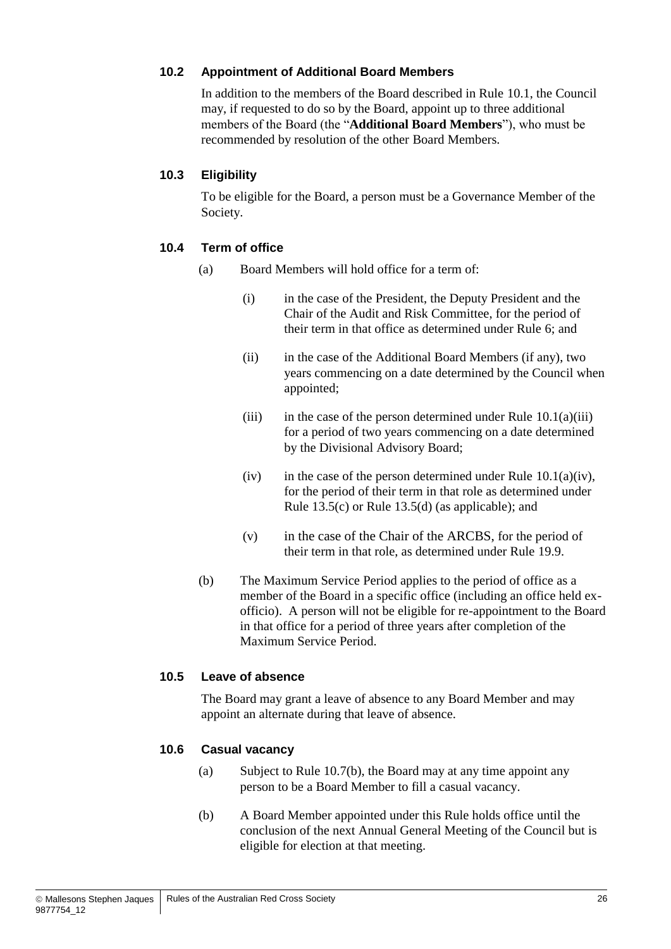#### <span id="page-31-0"></span>**10.2 Appointment of Additional Board Members**

In addition to the members of the Board described in Rule [10.1,](#page-30-0) the Council may, if requested to do so by the Board, appoint up to three additional members of the Board (the "**Additional Board Members**"), who must be recommended by resolution of the other Board Members.

#### **10.3 Eligibility**

To be eligible for the Board, a person must be a Governance Member of the Society.

#### **10.4 Term of office**

- (a) Board Members will hold office for a term of:
	- (i) in the case of the President, the Deputy President and the Chair of the Audit and Risk Committee, for the period of their term in that office as determined under Rule [6;](#page-17-2) and
	- (ii) in the case of the Additional Board Members (if any), two years commencing on a date determined by the Council when appointed;
	- (iii) in the case of the person determined under Rule  $10.1(a)(iii)$ for a period of two years commencing on a date determined by the Divisional Advisory Board;
	- (iv) in the case of the person determined under Rule  $10.1(a)(iv)$ , for the period of their term in that role as determined under Rule [13.5\(c\)](#page-40-1) or Rule [13.5\(d\)](#page-40-2) (as applicable); and
	- (v) in the case of the Chair of the ARCBS, for the period of their term in that role, as determined under Rule [19.9.](#page-45-0)
- (b) The Maximum Service Period applies to the period of office as a member of the Board in a specific office (including an office held exofficio). A person will not be eligible for re-appointment to the Board in that office for a period of three years after completion of the Maximum Service Period.

#### **10.5 Leave of absence**

The Board may grant a leave of absence to any Board Member and may appoint an alternate during that leave of absence.

#### **10.6 Casual vacancy**

- (a) Subject to Rule [10.7\(b\),](#page-32-0) the Board may at any time appoint any person to be a Board Member to fill a casual vacancy.
- (b) A Board Member appointed under this Rule holds office until the conclusion of the next Annual General Meeting of the Council but is eligible for election at that meeting.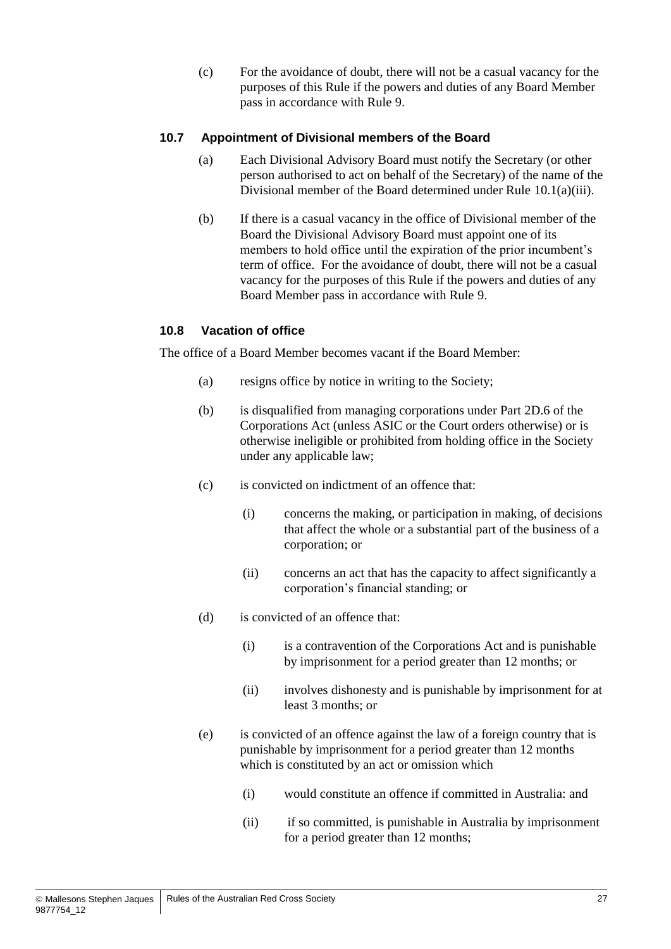(c) For the avoidance of doubt, there will not be a casual vacancy for the purposes of this Rule if the powers and duties of any Board Member pass in accordance with Rule [9.](#page-29-0)

#### **10.7 Appointment of Divisional members of the Board**

- (a) Each Divisional Advisory Board must notify the Secretary (or other person authorised to act on behalf of the Secretary) of the name of the Divisional member of the Board determined under Rule [10.1\(a\)\(iii\).](#page-30-1)
- <span id="page-32-0"></span>(b) If there is a casual vacancy in the office of Divisional member of the Board the Divisional Advisory Board must appoint one of its members to hold office until the expiration of the prior incumbent's term of office. For the avoidance of doubt, there will not be a casual vacancy for the purposes of this Rule if the powers and duties of any Board Member pass in accordance with Rule [9.](#page-29-0)

#### <span id="page-32-2"></span>**10.8 Vacation of office**

<span id="page-32-1"></span>The office of a Board Member becomes vacant if the Board Member:

- (a) resigns office by notice in writing to the Society;
- (b) is disqualified from managing corporations under Part 2D.6 of the Corporations Act (unless ASIC or the Court orders otherwise) or is otherwise ineligible or prohibited from holding office in the Society under any applicable law;
- (c) is convicted on indictment of an offence that:
	- (i) concerns the making, or participation in making, of decisions that affect the whole or a substantial part of the business of a corporation; or
	- (ii) concerns an act that has the capacity to affect significantly a corporation's financial standing; or
- (d) is convicted of an offence that:
	- (i) is a contravention of the Corporations Act and is punishable by imprisonment for a period greater than 12 months; or
	- (ii) involves dishonesty and is punishable by imprisonment for at least 3 months; or
- (e) is convicted of an offence against the law of a foreign country that is punishable by imprisonment for a period greater than 12 months which is constituted by an act or omission which
	- (i) would constitute an offence if committed in Australia: and
	- (ii) if so committed, is punishable in Australia by imprisonment for a period greater than 12 months;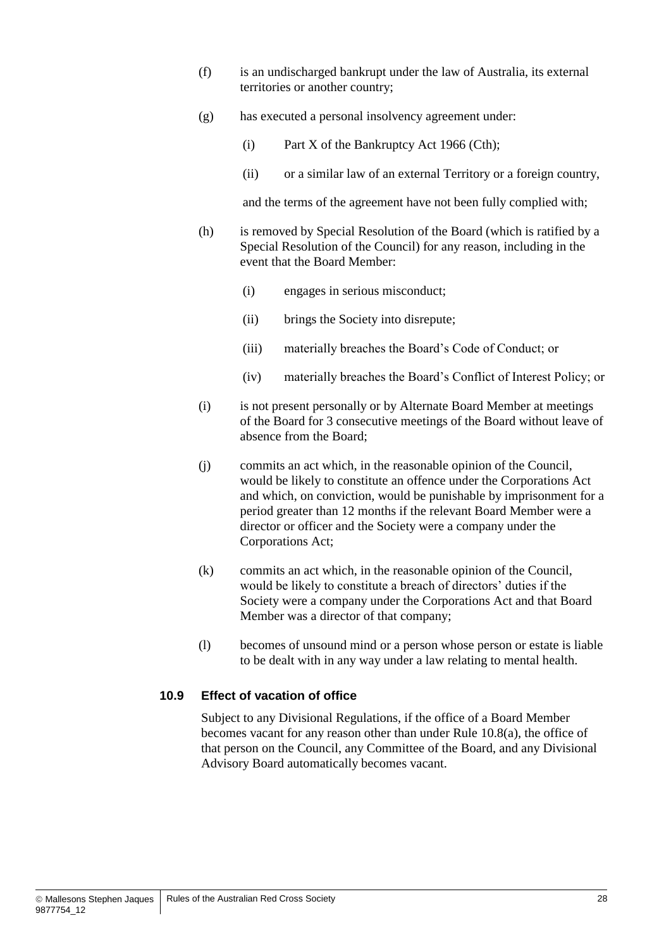- (f) is an undischarged bankrupt under the law of Australia, its external territories or another country;
- (g) has executed a personal insolvency agreement under:
	- (i) Part X of the Bankruptcy Act 1966 (Cth);
	- (ii) or a similar law of an external Territory or a foreign country,

and the terms of the agreement have not been fully complied with;

- (h) is removed by Special Resolution of the Board (which is ratified by a Special Resolution of the Council) for any reason, including in the event that the Board Member:
	- (i) engages in serious misconduct;
	- (ii) brings the Society into disrepute;
	- (iii) materially breaches the Board's Code of Conduct; or
	- (iv) materially breaches the Board's Conflict of Interest Policy; or
- (i) is not present personally or by Alternate Board Member at meetings of the Board for 3 consecutive meetings of the Board without leave of absence from the Board;
- (j) commits an act which, in the reasonable opinion of the Council, would be likely to constitute an offence under the Corporations Act and which, on conviction, would be punishable by imprisonment for a period greater than 12 months if the relevant Board Member were a director or officer and the Society were a company under the Corporations Act;
- (k) commits an act which, in the reasonable opinion of the Council, would be likely to constitute a breach of directors' duties if the Society were a company under the Corporations Act and that Board Member was a director of that company;
- (l) becomes of unsound mind or a person whose person or estate is liable to be dealt with in any way under a law relating to mental health.

#### **10.9 Effect of vacation of office**

Subject to any Divisional Regulations, if the office of a Board Member becomes vacant for any reason other than under Rule [10.8\(a\),](#page-32-1) the office of that person on the Council, any Committee of the Board, and any Divisional Advisory Board automatically becomes vacant.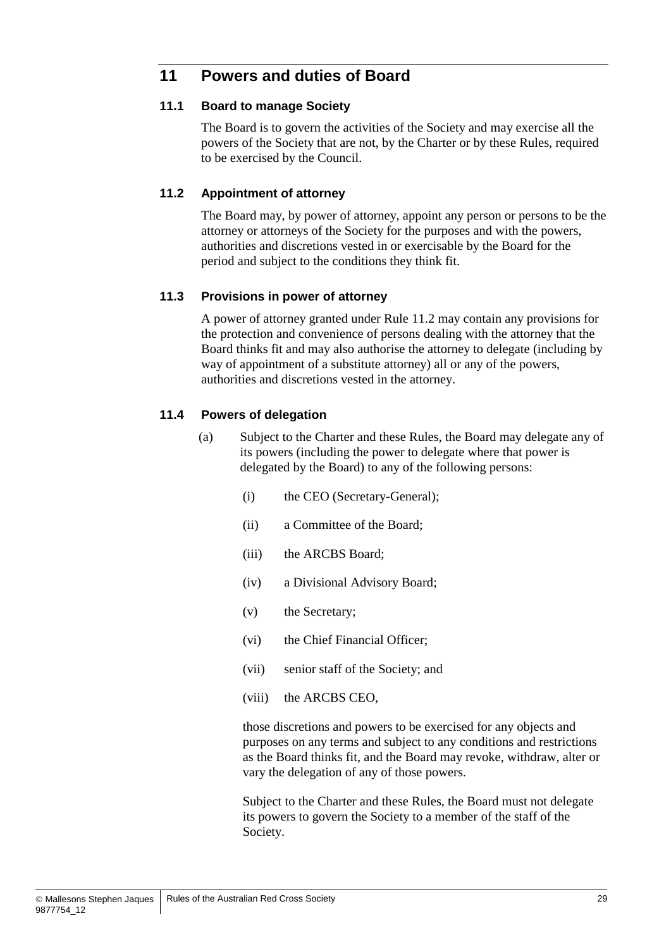## **11 Powers and duties of Board**

#### **11.1 Board to manage Society**

The Board is to govern the activities of the Society and may exercise all the powers of the Society that are not, by the Charter or by these Rules, required to be exercised by the Council.

#### <span id="page-34-1"></span>**11.2 Appointment of attorney**

The Board may, by power of attorney, appoint any person or persons to be the attorney or attorneys of the Society for the purposes and with the powers, authorities and discretions vested in or exercisable by the Board for the period and subject to the conditions they think fit.

#### **11.3 Provisions in power of attorney**

A power of attorney granted under Rule [11.2](#page-34-1) may contain any provisions for the protection and convenience of persons dealing with the attorney that the Board thinks fit and may also authorise the attorney to delegate (including by way of appointment of a substitute attorney) all or any of the powers, authorities and discretions vested in the attorney.

#### <span id="page-34-0"></span>**11.4 Powers of delegation**

- <span id="page-34-3"></span><span id="page-34-2"></span>(a) Subject to the Charter and these Rules, the Board may delegate any of its powers (including the power to delegate where that power is delegated by the Board) to any of the following persons:
	- (i) the CEO (Secretary-General);
	- (ii) a Committee of the Board;
	- (iii) the ARCBS Board;
	- (iv) a Divisional Advisory Board;
	- (v) the Secretary;
	- (vi) the Chief Financial Officer;
	- (vii) senior staff of the Society; and
	- (viii) the ARCBS CEO,

those discretions and powers to be exercised for any objects and purposes on any terms and subject to any conditions and restrictions as the Board thinks fit, and the Board may revoke, withdraw, alter or vary the delegation of any of those powers.

Subject to the Charter and these Rules, the Board must not delegate its powers to govern the Society to a member of the staff of the Society.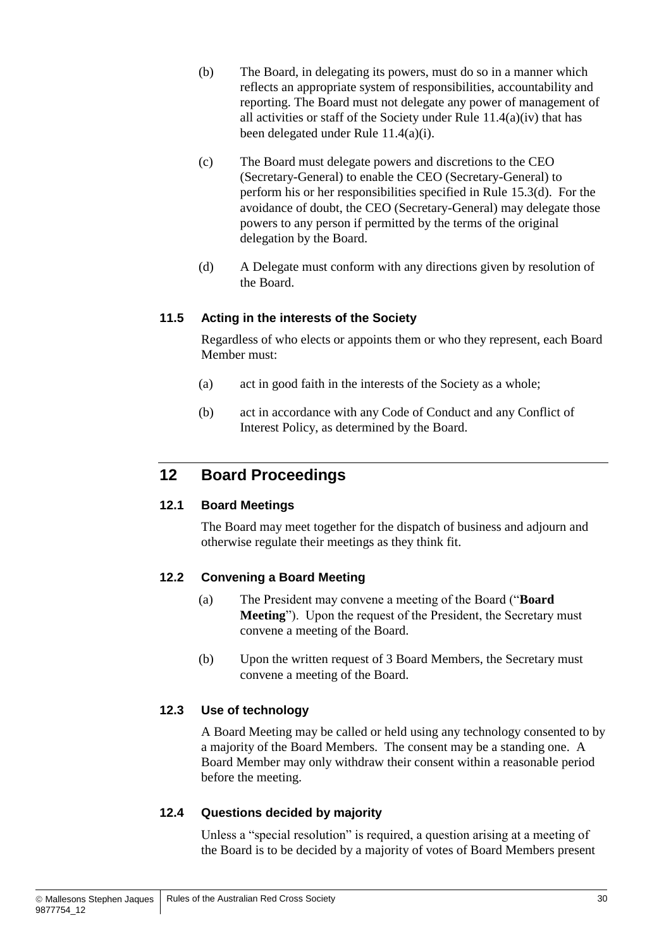- (b) The Board, in delegating its powers, must do so in a manner which reflects an appropriate system of responsibilities, accountability and reporting. The Board must not delegate any power of management of all activities or staff of the Society under Rule  $11.4(a)(iv)$  that has been delegated under Rule [11.4\(a\)\(i\).](#page-34-3)
- (c) The Board must delegate powers and discretions to the CEO (Secretary-General) to enable the CEO (Secretary-General) to perform his or her responsibilities specified in Rule [15.3\(d\).](#page-41-0) For the avoidance of doubt, the CEO (Secretary-General) may delegate those powers to any person if permitted by the terms of the original delegation by the Board.
- (d) A Delegate must conform with any directions given by resolution of the Board.

#### **11.5 Acting in the interests of the Society**

Regardless of who elects or appoints them or who they represent, each Board Member must:

- (a) act in good faith in the interests of the Society as a whole;
- (b) act in accordance with any Code of Conduct and any Conflict of Interest Policy, as determined by the Board.

## **12 Board Proceedings**

#### **12.1 Board Meetings**

The Board may meet together for the dispatch of business and adjourn and otherwise regulate their meetings as they think fit.

#### **12.2 Convening a Board Meeting**

- (a) The President may convene a meeting of the Board ("**Board Meeting**"). Upon the request of the President, the Secretary must convene a meeting of the Board.
- (b) Upon the written request of 3 Board Members, the Secretary must convene a meeting of the Board.

#### **12.3 Use of technology**

A Board Meeting may be called or held using any technology consented to by a majority of the Board Members. The consent may be a standing one. A Board Member may only withdraw their consent within a reasonable period before the meeting.

#### **12.4 Questions decided by majority**

Unless a "special resolution" is required, a question arising at a meeting of the Board is to be decided by a majority of votes of Board Members present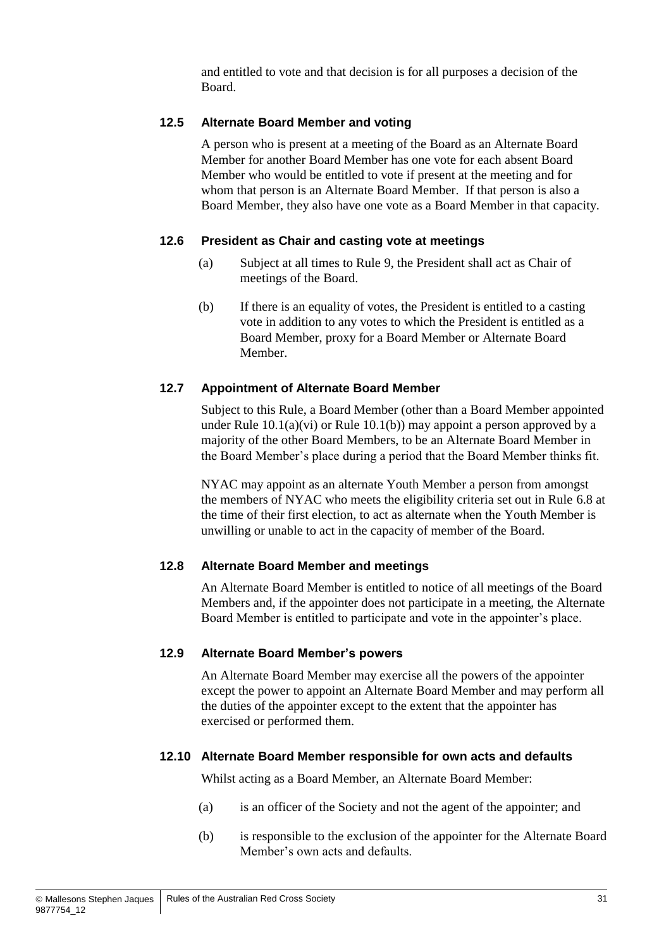and entitled to vote and that decision is for all purposes a decision of the Board.

#### **12.5 Alternate Board Member and voting**

A person who is present at a meeting of the Board as an Alternate Board Member for another Board Member has one vote for each absent Board Member who would be entitled to vote if present at the meeting and for whom that person is an Alternate Board Member. If that person is also a Board Member, they also have one vote as a Board Member in that capacity.

#### **12.6 President as Chair and casting vote at meetings**

- (a) Subject at all times to Rule [9,](#page-29-0) the President shall act as Chair of meetings of the Board.
- (b) If there is an equality of votes, the President is entitled to a casting vote in addition to any votes to which the President is entitled as a Board Member, proxy for a Board Member or Alternate Board Member.

#### <span id="page-36-0"></span>**12.7 Appointment of Alternate Board Member**

Subject to this Rule, a Board Member (other than a Board Member appointed under Rule  $10.1(a)(vi)$  or Rule  $10.1(b)$  may appoint a person approved by a majority of the other Board Members, to be an Alternate Board Member in the Board Member's place during a period that the Board Member thinks fit.

NYAC may appoint as an alternate Youth Member a person from amongst the members of NYAC who meets the eligibility criteria set out in Rule [6.8](#page-19-2) at the time of their first election, to act as alternate when the Youth Member is unwilling or unable to act in the capacity of member of the Board.

#### **12.8 Alternate Board Member and meetings**

An Alternate Board Member is entitled to notice of all meetings of the Board Members and, if the appointer does not participate in a meeting, the Alternate Board Member is entitled to participate and vote in the appointer's place.

#### **12.9 Alternate Board Member's powers**

An Alternate Board Member may exercise all the powers of the appointer except the power to appoint an Alternate Board Member and may perform all the duties of the appointer except to the extent that the appointer has exercised or performed them.

#### **12.10 Alternate Board Member responsible for own acts and defaults**

Whilst acting as a Board Member, an Alternate Board Member:

- (a) is an officer of the Society and not the agent of the appointer; and
- (b) is responsible to the exclusion of the appointer for the Alternate Board Member's own acts and defaults.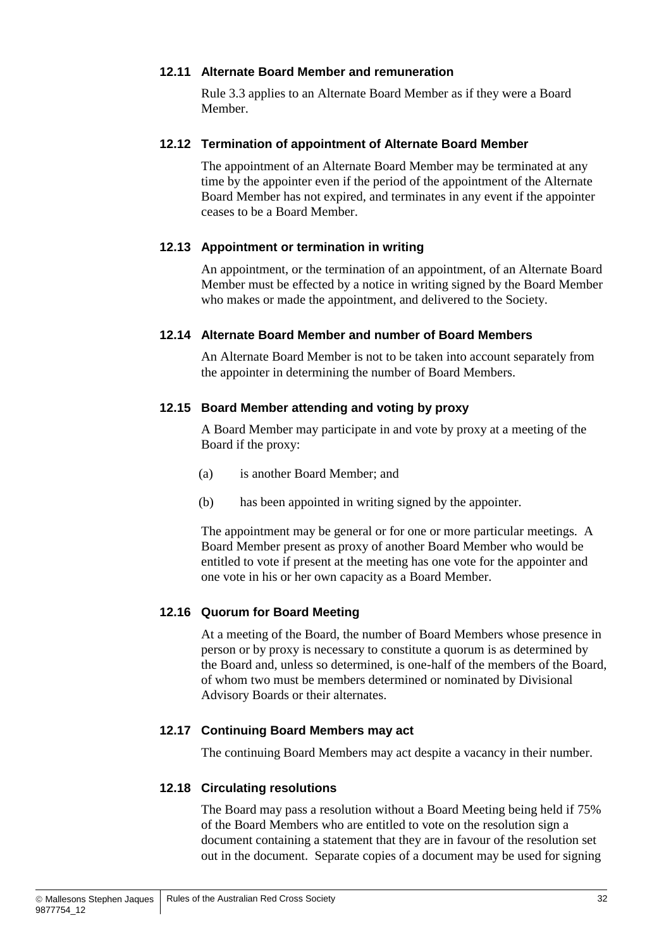#### **12.11 Alternate Board Member and remuneration**

Rule [3.3](#page-13-2) applies to an Alternate Board Member as if they were a Board Member.

#### **12.12 Termination of appointment of Alternate Board Member**

The appointment of an Alternate Board Member may be terminated at any time by the appointer even if the period of the appointment of the Alternate Board Member has not expired, and terminates in any event if the appointer ceases to be a Board Member.

#### **12.13 Appointment or termination in writing**

An appointment, or the termination of an appointment, of an Alternate Board Member must be effected by a notice in writing signed by the Board Member who makes or made the appointment, and delivered to the Society.

#### **12.14 Alternate Board Member and number of Board Members**

An Alternate Board Member is not to be taken into account separately from the appointer in determining the number of Board Members.

#### **12.15 Board Member attending and voting by proxy**

A Board Member may participate in and vote by proxy at a meeting of the Board if the proxy:

- (a) is another Board Member; and
- (b) has been appointed in writing signed by the appointer.

The appointment may be general or for one or more particular meetings. A Board Member present as proxy of another Board Member who would be entitled to vote if present at the meeting has one vote for the appointer and one vote in his or her own capacity as a Board Member.

#### **12.16 Quorum for Board Meeting**

At a meeting of the Board, the number of Board Members whose presence in person or by proxy is necessary to constitute a quorum is as determined by the Board and, unless so determined, is one-half of the members of the Board, of whom two must be members determined or nominated by Divisional Advisory Boards or their alternates.

#### **12.17 Continuing Board Members may act**

The continuing Board Members may act despite a vacancy in their number.

#### **12.18 Circulating resolutions**

The Board may pass a resolution without a Board Meeting being held if 75% of the Board Members who are entitled to vote on the resolution sign a document containing a statement that they are in favour of the resolution set out in the document. Separate copies of a document may be used for signing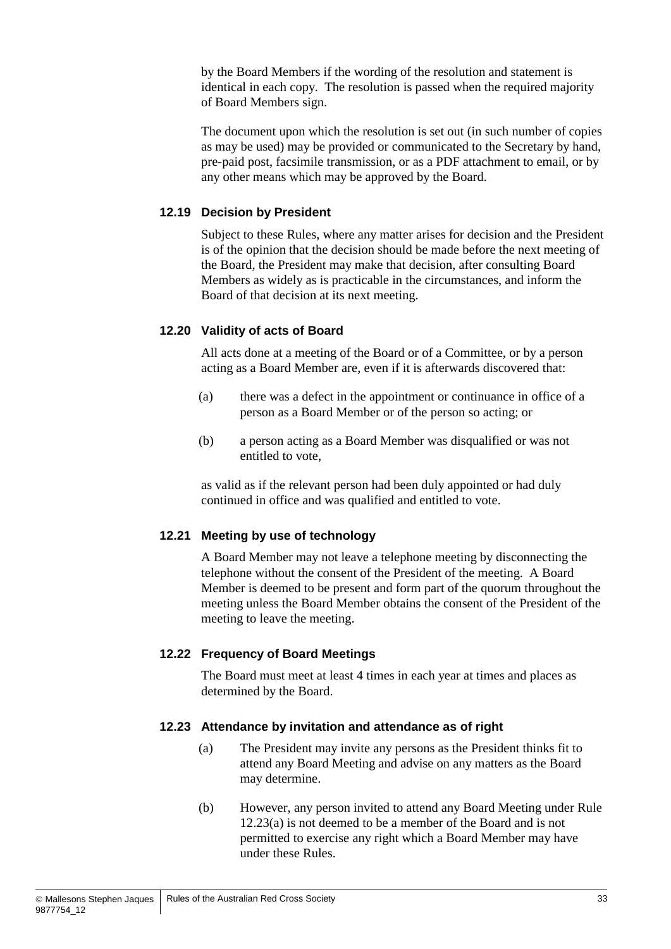by the Board Members if the wording of the resolution and statement is identical in each copy. The resolution is passed when the required majority of Board Members sign.

The document upon which the resolution is set out (in such number of copies as may be used) may be provided or communicated to the Secretary by hand, pre-paid post, facsimile transmission, or as a PDF attachment to email, or by any other means which may be approved by the Board.

#### **12.19 Decision by President**

Subject to these Rules, where any matter arises for decision and the President is of the opinion that the decision should be made before the next meeting of the Board, the President may make that decision, after consulting Board Members as widely as is practicable in the circumstances, and inform the Board of that decision at its next meeting.

#### **12.20 Validity of acts of Board**

All acts done at a meeting of the Board or of a Committee, or by a person acting as a Board Member are, even if it is afterwards discovered that:

- (a) there was a defect in the appointment or continuance in office of a person as a Board Member or of the person so acting; or
- (b) a person acting as a Board Member was disqualified or was not entitled to vote,

as valid as if the relevant person had been duly appointed or had duly continued in office and was qualified and entitled to vote.

#### **12.21 Meeting by use of technology**

A Board Member may not leave a telephone meeting by disconnecting the telephone without the consent of the President of the meeting. A Board Member is deemed to be present and form part of the quorum throughout the meeting unless the Board Member obtains the consent of the President of the meeting to leave the meeting.

#### **12.22 Frequency of Board Meetings**

The Board must meet at least 4 times in each year at times and places as determined by the Board.

#### <span id="page-38-0"></span>**12.23 Attendance by invitation and attendance as of right**

- (a) The President may invite any persons as the President thinks fit to attend any Board Meeting and advise on any matters as the Board may determine.
- (b) However, any person invited to attend any Board Meeting under Rule [12.23\(a\)](#page-38-0) is not deemed to be a member of the Board and is not permitted to exercise any right which a Board Member may have under these Rules.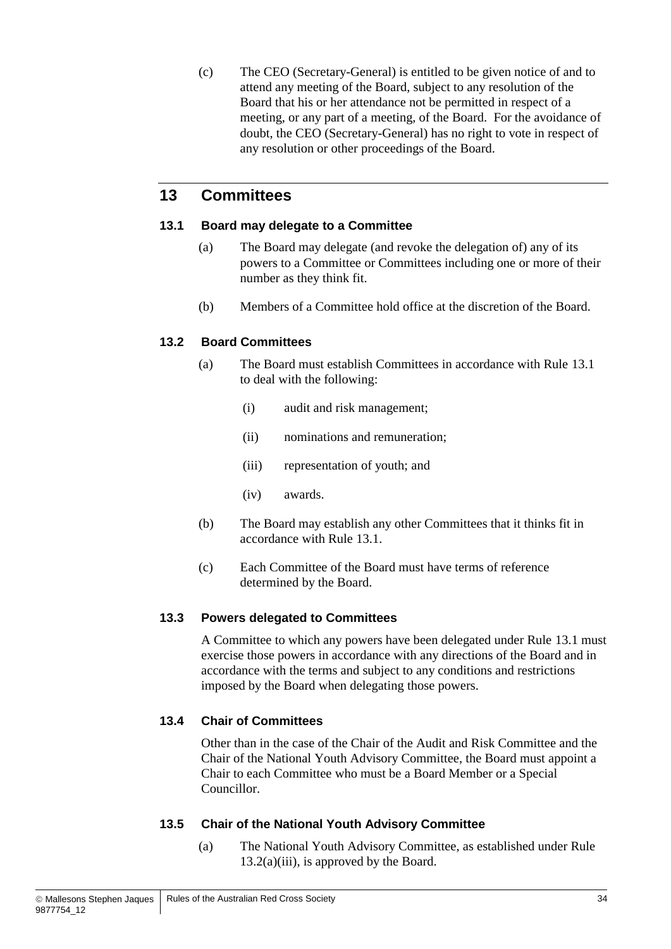(c) The CEO (Secretary-General) is entitled to be given notice of and to attend any meeting of the Board, subject to any resolution of the Board that his or her attendance not be permitted in respect of a meeting, or any part of a meeting, of the Board. For the avoidance of doubt, the CEO (Secretary-General) has no right to vote in respect of any resolution or other proceedings of the Board.

## <span id="page-39-1"></span>**13 Committees**

#### <span id="page-39-3"></span>**13.1 Board may delegate to a Committee**

- (a) The Board may delegate (and revoke the delegation of) any of its powers to a Committee or Committees including one or more of their number as they think fit.
- (b) Members of a Committee hold office at the discretion of the Board.

#### <span id="page-39-0"></span>**13.2 Board Committees**

- (a) The Board must establish Committees in accordance with Rule [13.1](#page-39-3) to deal with the following:
	- (i) audit and risk management;
	- (ii) nominations and remuneration;
	- (iii) representation of youth; and
	- (iv) awards.
- <span id="page-39-4"></span><span id="page-39-2"></span>(b) The Board may establish any other Committees that it thinks fit in accordance with Rule [13.1.](#page-39-3)
- (c) Each Committee of the Board must have terms of reference determined by the Board.

#### <span id="page-39-5"></span>**13.3 Powers delegated to Committees**

A Committee to which any powers have been delegated under Rule [13.1](#page-39-3) must exercise those powers in accordance with any directions of the Board and in accordance with the terms and subject to any conditions and restrictions imposed by the Board when delegating those powers.

#### **13.4 Chair of Committees**

Other than in the case of the Chair of the Audit and Risk Committee and the Chair of the National Youth Advisory Committee, the Board must appoint a Chair to each Committee who must be a Board Member or a Special Councillor.

#### **13.5 Chair of the National Youth Advisory Committee**

(a) The National Youth Advisory Committee, as established under Rule  $13.2(a)(iii)$ , is approved by the Board.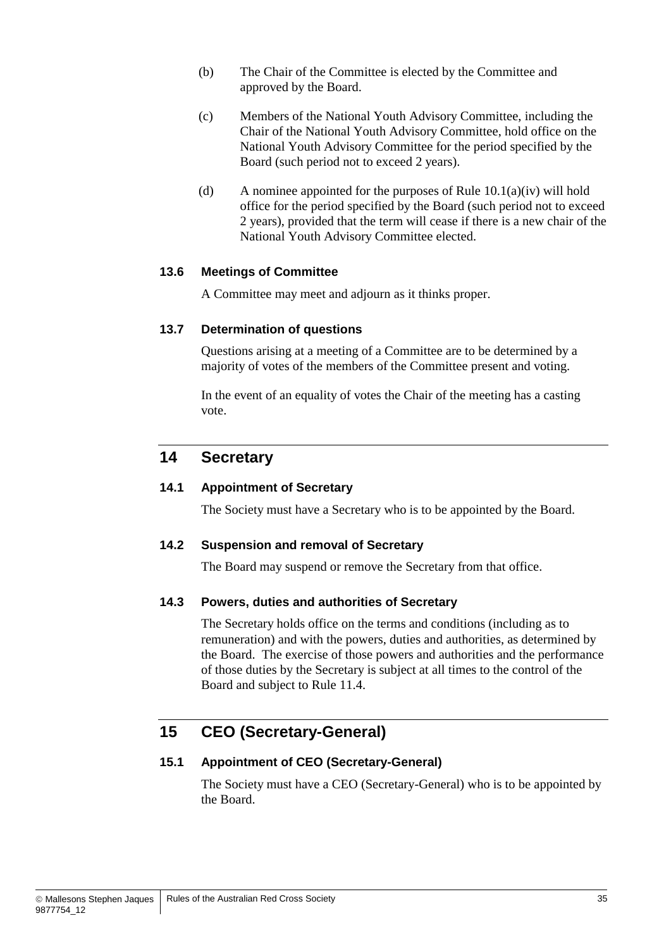- (b) The Chair of the Committee is elected by the Committee and approved by the Board.
- <span id="page-40-1"></span>(c) Members of the National Youth Advisory Committee, including the Chair of the National Youth Advisory Committee, hold office on the National Youth Advisory Committee for the period specified by the Board (such period not to exceed 2 years).
- <span id="page-40-2"></span>(d) A nominee appointed for the purposes of Rule  $10.1(a)(iv)$  will hold office for the period specified by the Board (such period not to exceed 2 years), provided that the term will cease if there is a new chair of the National Youth Advisory Committee elected.

#### <span id="page-40-3"></span>**13.6 Meetings of Committee**

A Committee may meet and adjourn as it thinks proper.

#### <span id="page-40-4"></span>**13.7 Determination of questions**

Questions arising at a meeting of a Committee are to be determined by a majority of votes of the members of the Committee present and voting.

In the event of an equality of votes the Chair of the meeting has a casting vote.

## <span id="page-40-0"></span>**14 Secretary**

#### **14.1 Appointment of Secretary**

The Society must have a Secretary who is to be appointed by the Board.

#### **14.2 Suspension and removal of Secretary**

The Board may suspend or remove the Secretary from that office.

#### **14.3 Powers, duties and authorities of Secretary**

The Secretary holds office on the terms and conditions (including as to remuneration) and with the powers, duties and authorities, as determined by the Board. The exercise of those powers and authorities and the performance of those duties by the Secretary is subject at all times to the control of the Board and subject to Rule [11.4.](#page-34-0)

## **15 CEO (Secretary-General)**

#### **15.1 Appointment of CEO (Secretary-General)**

The Society must have a CEO (Secretary-General) who is to be appointed by the Board.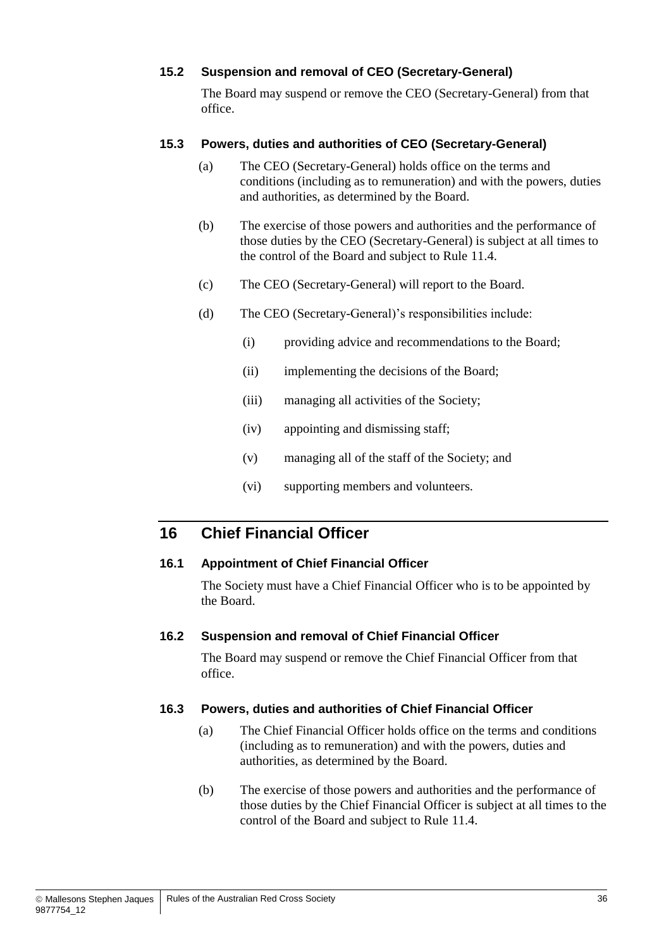#### **15.2 Suspension and removal of CEO (Secretary-General)**

The Board may suspend or remove the CEO (Secretary-General) from that office.

#### **15.3 Powers, duties and authorities of CEO (Secretary-General)**

- (a) The CEO (Secretary-General) holds office on the terms and conditions (including as to remuneration) and with the powers, duties and authorities, as determined by the Board.
- (b) The exercise of those powers and authorities and the performance of those duties by the CEO (Secretary-General) is subject at all times to the control of the Board and subject to Rule [11.4.](#page-34-0)
- (c) The CEO (Secretary-General) will report to the Board.
- <span id="page-41-0"></span>(d) The CEO (Secretary-General)'s responsibilities include:
	- (i) providing advice and recommendations to the Board;
	- (ii) implementing the decisions of the Board;
	- (iii) managing all activities of the Society;
	- (iv) appointing and dismissing staff;
	- (v) managing all of the staff of the Society; and
	- (vi) supporting members and volunteers.

## **16 Chief Financial Officer**

#### **16.1 Appointment of Chief Financial Officer**

The Society must have a Chief Financial Officer who is to be appointed by the Board.

#### **16.2 Suspension and removal of Chief Financial Officer**

The Board may suspend or remove the Chief Financial Officer from that office.

#### **16.3 Powers, duties and authorities of Chief Financial Officer**

- (a) The Chief Financial Officer holds office on the terms and conditions (including as to remuneration) and with the powers, duties and authorities, as determined by the Board.
- (b) The exercise of those powers and authorities and the performance of those duties by the Chief Financial Officer is subject at all times to the control of the Board and subject to Rule [11.4.](#page-34-0)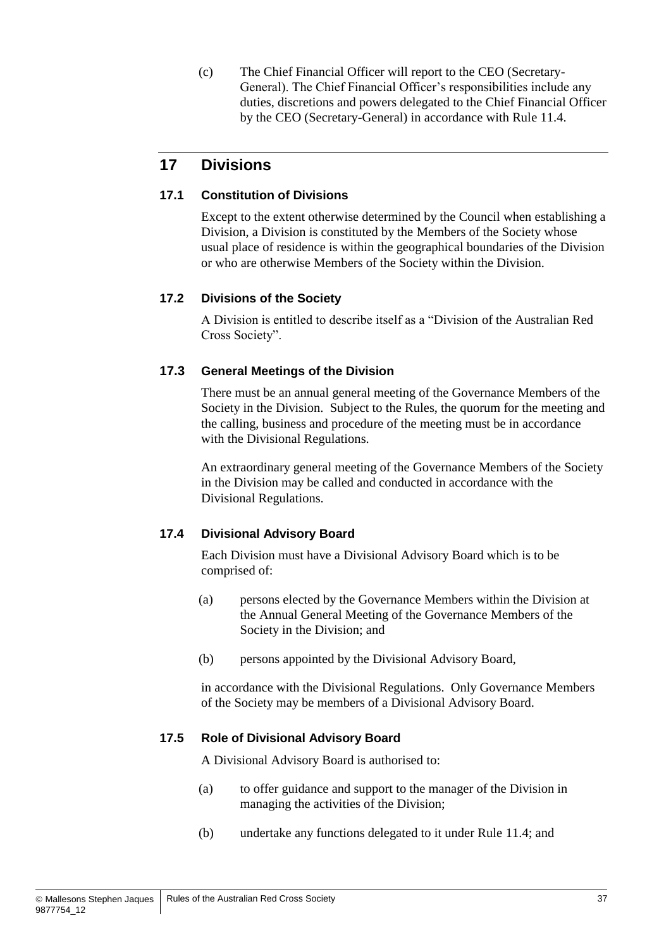(c) The Chief Financial Officer will report to the CEO (Secretary-General). The Chief Financial Officer's responsibilities include any duties, discretions and powers delegated to the Chief Financial Officer by the CEO (Secretary-General) in accordance with Rule [11.4.](#page-34-0)

## <span id="page-42-0"></span>**17 Divisions**

#### **17.1 Constitution of Divisions**

Except to the extent otherwise determined by the Council when establishing a Division, a Division is constituted by the Members of the Society whose usual place of residence is within the geographical boundaries of the Division or who are otherwise Members of the Society within the Division.

#### **17.2 Divisions of the Society**

A Division is entitled to describe itself as a "Division of the Australian Red Cross Society".

#### **17.3 General Meetings of the Division**

There must be an annual general meeting of the Governance Members of the Society in the Division. Subject to the Rules, the quorum for the meeting and the calling, business and procedure of the meeting must be in accordance with the Divisional Regulations.

An extraordinary general meeting of the Governance Members of the Society in the Division may be called and conducted in accordance with the Divisional Regulations.

#### <span id="page-42-1"></span>**17.4 Divisional Advisory Board**

Each Division must have a Divisional Advisory Board which is to be comprised of:

- (a) persons elected by the Governance Members within the Division at the Annual General Meeting of the Governance Members of the Society in the Division; and
- <span id="page-42-2"></span>(b) persons appointed by the Divisional Advisory Board,

in accordance with the Divisional Regulations. Only Governance Members of the Society may be members of a Divisional Advisory Board.

#### **17.5 Role of Divisional Advisory Board**

A Divisional Advisory Board is authorised to:

- (a) to offer guidance and support to the manager of the Division in managing the activities of the Division;
- (b) undertake any functions delegated to it under Rule [11.4;](#page-34-0) and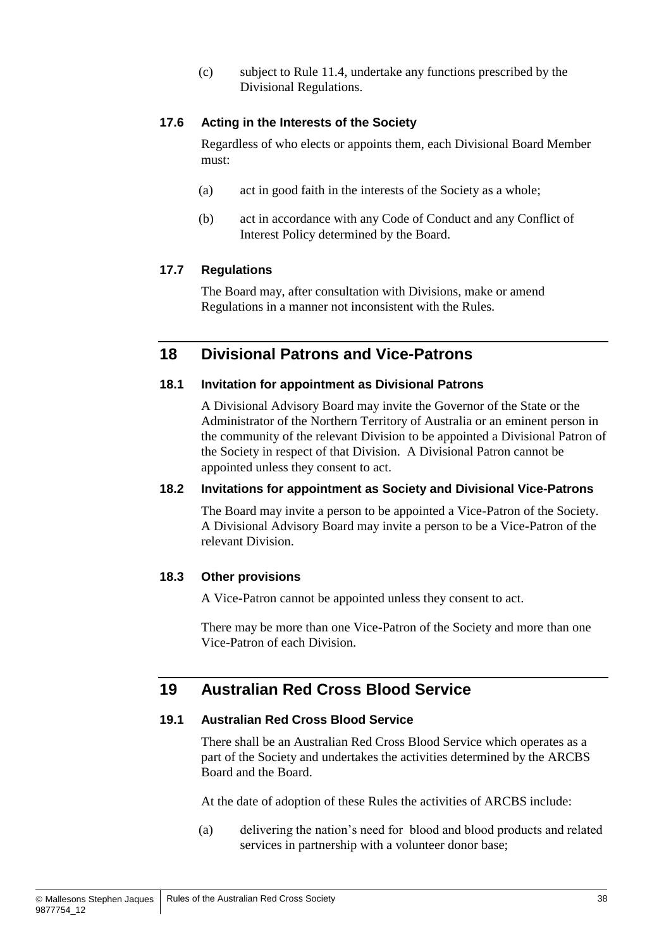(c) subject to Rule [11.4,](#page-34-0) undertake any functions prescribed by the Divisional Regulations.

#### <span id="page-43-2"></span>**17.6 Acting in the Interests of the Society**

Regardless of who elects or appoints them, each Divisional Board Member must:

- (a) act in good faith in the interests of the Society as a whole;
- (b) act in accordance with any Code of Conduct and any Conflict of Interest Policy determined by the Board.

#### **17.7 Regulations**

The Board may, after consultation with Divisions, make or amend Regulations in a manner not inconsistent with the Rules.

## **18 Divisional Patrons and Vice-Patrons**

#### <span id="page-43-1"></span>**18.1 Invitation for appointment as Divisional Patrons**

A Divisional Advisory Board may invite the Governor of the State or the Administrator of the Northern Territory of Australia or an eminent person in the community of the relevant Division to be appointed a Divisional Patron of the Society in respect of that Division. A Divisional Patron cannot be appointed unless they consent to act.

#### <span id="page-43-3"></span>**18.2 Invitations for appointment as Society and Divisional Vice-Patrons**

The Board may invite a person to be appointed a Vice-Patron of the Society. A Divisional Advisory Board may invite a person to be a Vice-Patron of the relevant Division.

#### **18.3 Other provisions**

A Vice-Patron cannot be appointed unless they consent to act.

There may be more than one Vice-Patron of the Society and more than one Vice-Patron of each Division.

## <span id="page-43-0"></span>**19 Australian Red Cross Blood Service**

#### **19.1 Australian Red Cross Blood Service**

There shall be an Australian Red Cross Blood Service which operates as a part of the Society and undertakes the activities determined by the ARCBS Board and the Board.

At the date of adoption of these Rules the activities of ARCBS include:

(a) delivering the nation's need for blood and blood products and related services in partnership with a volunteer donor base;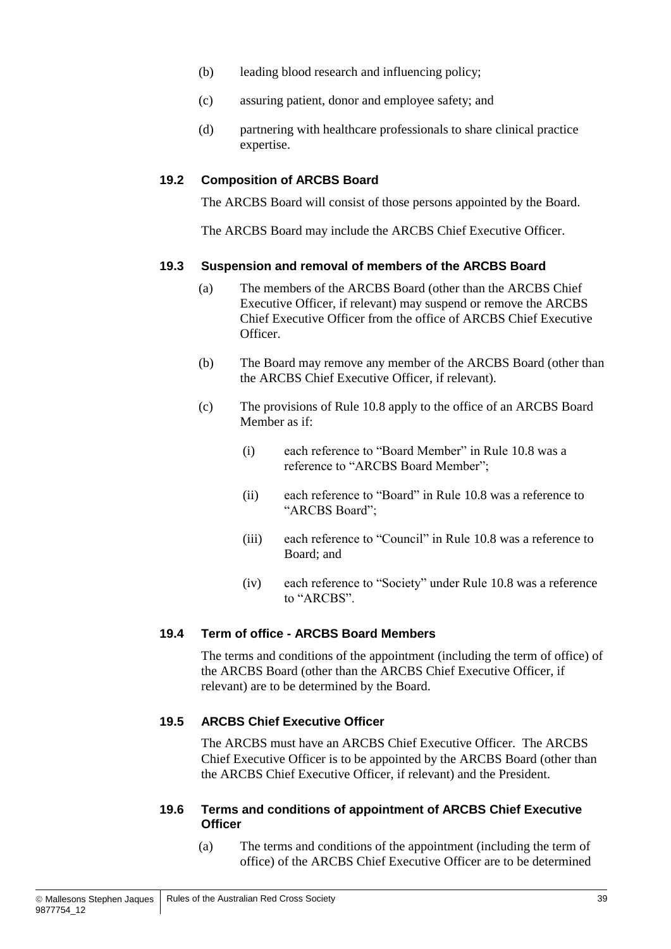- (b) leading blood research and influencing policy;
- (c) assuring patient, donor and employee safety; and
- (d) partnering with healthcare professionals to share clinical practice expertise.

#### <span id="page-44-0"></span>**19.2 Composition of ARCBS Board**

The ARCBS Board will consist of those persons appointed by the Board.

The ARCBS Board may include the ARCBS Chief Executive Officer.

#### **19.3 Suspension and removal of members of the ARCBS Board**

- (a) The members of the ARCBS Board (other than the ARCBS Chief Executive Officer, if relevant) may suspend or remove the ARCBS Chief Executive Officer from the office of ARCBS Chief Executive Officer.
- (b) The Board may remove any member of the ARCBS Board (other than the ARCBS Chief Executive Officer, if relevant).
- (c) The provisions of Rule [10.8](#page-32-2) apply to the office of an ARCBS Board Member as if:
	- (i) each reference to "Board Member" in Rule [10.8](#page-32-2) was a reference to "ARCBS Board Member";
	- (ii) each reference to "Board" in Rule [10.8](#page-32-2) was a reference to "ARCBS Board";
	- (iii) each reference to "Council" in Rule [10.8](#page-32-2) was a reference to Board; and
	- (iv) each reference to "Society" under Rule [10.8](#page-32-2) was a reference to "ARCBS".

#### **19.4 Term of office - ARCBS Board Members**

The terms and conditions of the appointment (including the term of office) of the ARCBS Board (other than the ARCBS Chief Executive Officer, if relevant) are to be determined by the Board.

#### <span id="page-44-1"></span>**19.5 ARCBS Chief Executive Officer**

The ARCBS must have an ARCBS Chief Executive Officer. The ARCBS Chief Executive Officer is to be appointed by the ARCBS Board (other than the ARCBS Chief Executive Officer, if relevant) and the President.

#### **19.6 Terms and conditions of appointment of ARCBS Chief Executive Officer**

(a) The terms and conditions of the appointment (including the term of office) of the ARCBS Chief Executive Officer are to be determined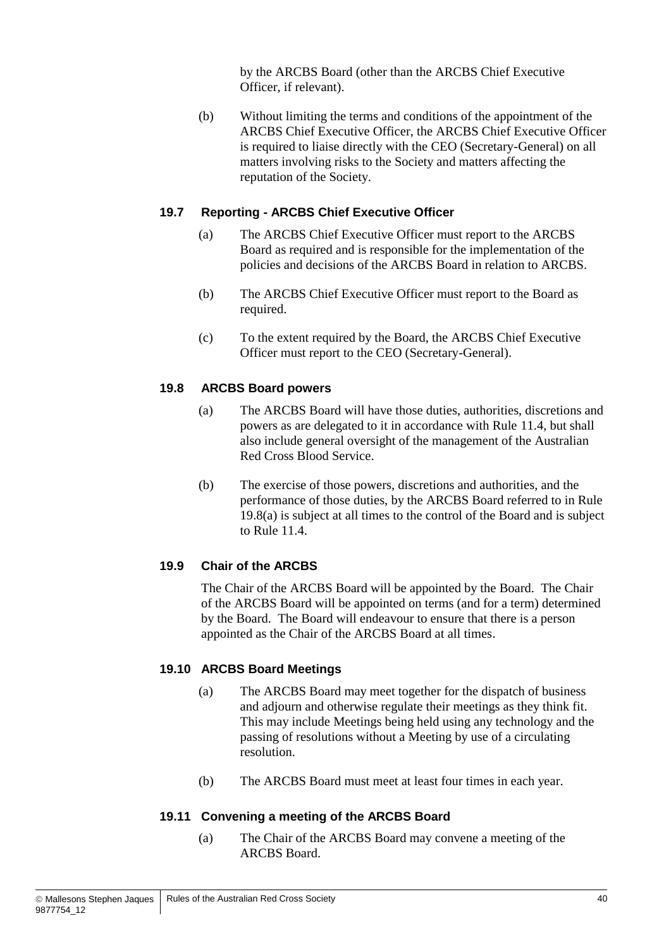by the ARCBS Board (other than the ARCBS Chief Executive Officer, if relevant).

(b) Without limiting the terms and conditions of the appointment of the ARCBS Chief Executive Officer, the ARCBS Chief Executive Officer is required to liaise directly with the CEO (Secretary-General) on all matters involving risks to the Society and matters affecting the reputation of the Society.

#### **19.7 Reporting - ARCBS Chief Executive Officer**

- (a) The ARCBS Chief Executive Officer must report to the ARCBS Board as required and is responsible for the implementation of the policies and decisions of the ARCBS Board in relation to ARCBS.
- (b) The ARCBS Chief Executive Officer must report to the Board as required.
- (c) To the extent required by the Board, the ARCBS Chief Executive Officer must report to the CEO (Secretary-General).

#### <span id="page-45-1"></span>**19.8 ARCBS Board powers**

- (a) The ARCBS Board will have those duties, authorities, discretions and powers as are delegated to it in accordance with Rule [11.4,](#page-34-0) but shall also include general oversight of the management of the Australian Red Cross Blood Service.
- (b) The exercise of those powers, discretions and authorities, and the performance of those duties, by the ARCBS Board referred to in Rule [19.8\(a\)](#page-45-1) is subject at all times to the control of the Board and is subject to Rule [11.4.](#page-34-0)

#### <span id="page-45-0"></span>**19.9 Chair of the ARCBS**

The Chair of the ARCBS Board will be appointed by the Board. The Chair of the ARCBS Board will be appointed on terms (and for a term) determined by the Board. The Board will endeavour to ensure that there is a person appointed as the Chair of the ARCBS Board at all times.

#### **19.10 ARCBS Board Meetings**

- (a) The ARCBS Board may meet together for the dispatch of business and adjourn and otherwise regulate their meetings as they think fit. This may include Meetings being held using any technology and the passing of resolutions without a Meeting by use of a circulating resolution.
- (b) The ARCBS Board must meet at least four times in each year.

#### **19.11 Convening a meeting of the ARCBS Board**

(a) The Chair of the ARCBS Board may convene a meeting of the ARCBS Board.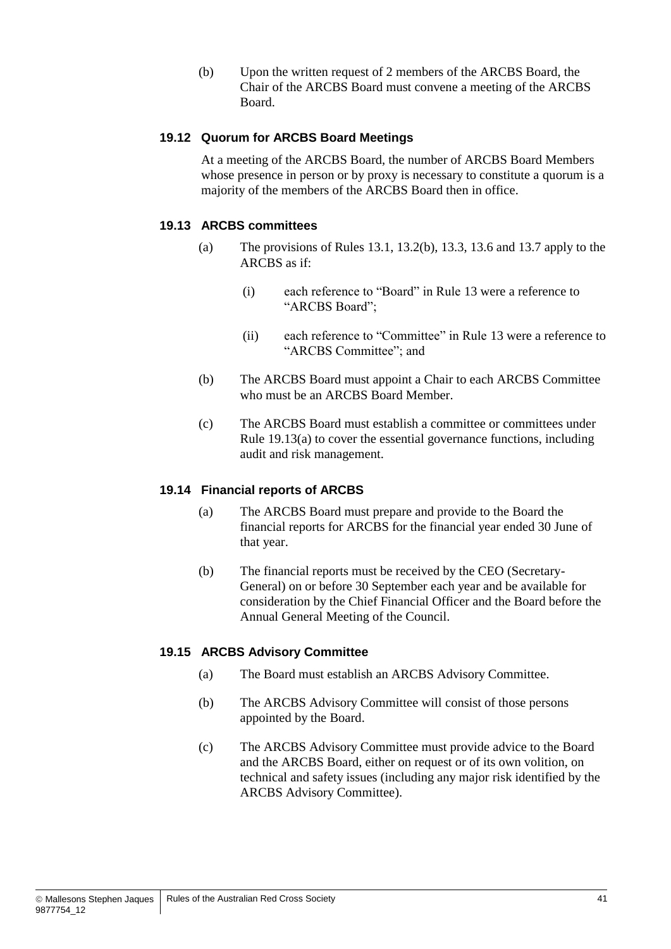(b) Upon the written request of 2 members of the ARCBS Board, the Chair of the ARCBS Board must convene a meeting of the ARCBS Board.

#### **19.12 Quorum for ARCBS Board Meetings**

At a meeting of the ARCBS Board, the number of ARCBS Board Members whose presence in person or by proxy is necessary to constitute a quorum is a majority of the members of the ARCBS Board then in office.

#### <span id="page-46-0"></span>**19.13 ARCBS committees**

- (a) The provisions of Rules [13.1,](#page-39-3) [13.2\(b\),](#page-39-4) [13.3,](#page-39-5) [13.6](#page-40-3) and [13.7](#page-40-4) apply to the ARCBS as if:
	- (i) each reference to "Board" in Rule [13](#page-39-1) were a reference to "ARCBS Board";
	- (ii) each reference to "Committee" in Rule [13](#page-39-1) were a reference to "ARCBS Committee"; and
- (b) The ARCBS Board must appoint a Chair to each ARCBS Committee who must be an ARCBS Board Member.
- (c) The ARCBS Board must establish a committee or committees under Rule [19.13\(a\)](#page-46-0) to cover the essential governance functions, including audit and risk management.

#### **19.14 Financial reports of ARCBS**

- (a) The ARCBS Board must prepare and provide to the Board the financial reports for ARCBS for the financial year ended 30 June of that year.
- (b) The financial reports must be received by the CEO (Secretary-General) on or before 30 September each year and be available for consideration by the Chief Financial Officer and the Board before the Annual General Meeting of the Council.

#### **19.15 ARCBS Advisory Committee**

- (a) The Board must establish an ARCBS Advisory Committee.
- (b) The ARCBS Advisory Committee will consist of those persons appointed by the Board.
- (c) The ARCBS Advisory Committee must provide advice to the Board and the ARCBS Board, either on request or of its own volition, on technical and safety issues (including any major risk identified by the ARCBS Advisory Committee).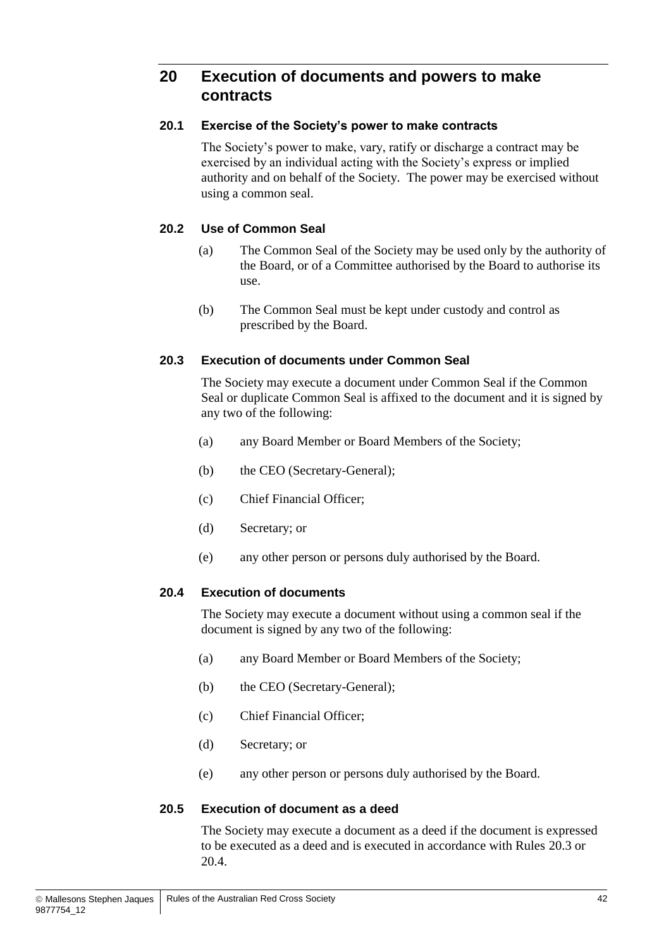## **20 Execution of documents and powers to make contracts**

#### **20.1 Exercise of the Society's power to make contracts**

The Society's power to make, vary, ratify or discharge a contract may be exercised by an individual acting with the Society's express or implied authority and on behalf of the Society. The power may be exercised without using a common seal.

#### **20.2 Use of Common Seal**

- (a) The Common Seal of the Society may be used only by the authority of the Board, or of a Committee authorised by the Board to authorise its use.
- (b) The Common Seal must be kept under custody and control as prescribed by the Board.

#### <span id="page-47-0"></span>**20.3 Execution of documents under Common Seal**

The Society may execute a document under Common Seal if the Common Seal or duplicate Common Seal is affixed to the document and it is signed by any two of the following:

- (a) any Board Member or Board Members of the Society;
- (b) the CEO (Secretary-General);
- (c) Chief Financial Officer;
- (d) Secretary; or
- (e) any other person or persons duly authorised by the Board.

#### <span id="page-47-1"></span>**20.4 Execution of documents**

The Society may execute a document without using a common seal if the document is signed by any two of the following:

- (a) any Board Member or Board Members of the Society;
- (b) the CEO (Secretary-General);
- (c) Chief Financial Officer;
- (d) Secretary; or
- (e) any other person or persons duly authorised by the Board.

#### **20.5 Execution of document as a deed**

The Society may execute a document as a deed if the document is expressed to be executed as a deed and is executed in accordance with Rules [20.3](#page-47-0) or [20.4.](#page-47-1)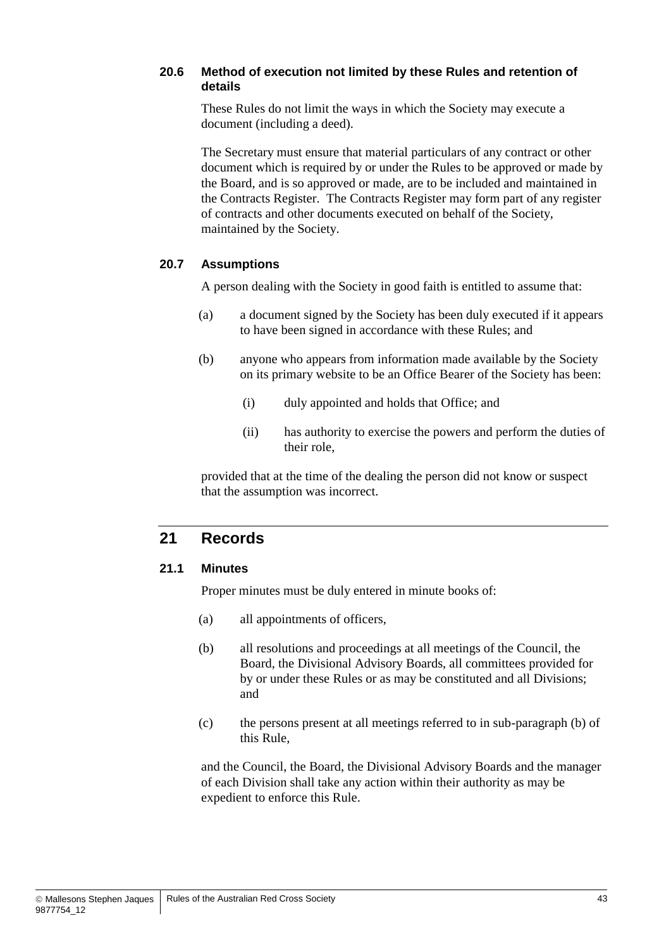#### **20.6 Method of execution not limited by these Rules and retention of details**

These Rules do not limit the ways in which the Society may execute a document (including a deed).

The Secretary must ensure that material particulars of any contract or other document which is required by or under the Rules to be approved or made by the Board, and is so approved or made, are to be included and maintained in the Contracts Register. The Contracts Register may form part of any register of contracts and other documents executed on behalf of the Society, maintained by the Society.

#### **20.7 Assumptions**

A person dealing with the Society in good faith is entitled to assume that:

- (a) a document signed by the Society has been duly executed if it appears to have been signed in accordance with these Rules; and
- (b) anyone who appears from information made available by the Society on its primary website to be an Office Bearer of the Society has been:
	- (i) duly appointed and holds that Office; and
	- (ii) has authority to exercise the powers and perform the duties of their role,

provided that at the time of the dealing the person did not know or suspect that the assumption was incorrect.

## **21 Records**

#### **21.1 Minutes**

Proper minutes must be duly entered in minute books of:

- (a) all appointments of officers,
- (b) all resolutions and proceedings at all meetings of the Council, the Board, the Divisional Advisory Boards, all committees provided for by or under these Rules or as may be constituted and all Divisions; and
- (c) the persons present at all meetings referred to in sub-paragraph (b) of this Rule,

and the Council, the Board, the Divisional Advisory Boards and the manager of each Division shall take any action within their authority as may be expedient to enforce this Rule.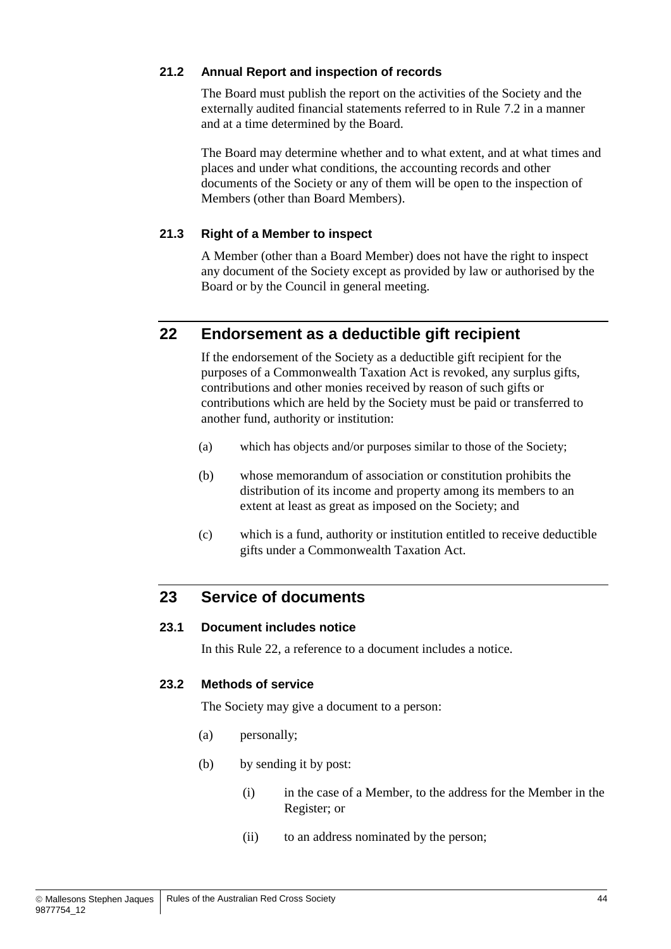#### **21.2 Annual Report and inspection of records**

The Board must publish the report on the activities of the Society and the externally audited financial statements referred to in Rule [7.2](#page-22-1) in a manner and at a time determined by the Board.

The Board may determine whether and to what extent, and at what times and places and under what conditions, the accounting records and other documents of the Society or any of them will be open to the inspection of Members (other than Board Members).

#### **21.3 Right of a Member to inspect**

A Member (other than a Board Member) does not have the right to inspect any document of the Society except as provided by law or authorised by the Board or by the Council in general meeting.

## <span id="page-49-0"></span>**22 Endorsement as a deductible gift recipient**

If the endorsement of the Society as a deductible gift recipient for the purposes of a Commonwealth Taxation Act is revoked, any surplus gifts, contributions and other monies received by reason of such gifts or contributions which are held by the Society must be paid or transferred to another fund, authority or institution:

- (a) which has objects and/or purposes similar to those of the Society;
- (b) whose memorandum of association or constitution prohibits the distribution of its income and property among its members to an extent at least as great as imposed on the Society; and
- (c) which is a fund, authority or institution entitled to receive deductible gifts under a Commonwealth Taxation Act.

## **23 Service of documents**

#### **23.1 Document includes notice**

In this Rule [22,](#page-49-0) a reference to a document includes a notice.

#### **23.2 Methods of service**

The Society may give a document to a person:

- (a) personally;
- (b) by sending it by post:
	- (i) in the case of a Member, to the address for the Member in the Register; or
	- (ii) to an address nominated by the person;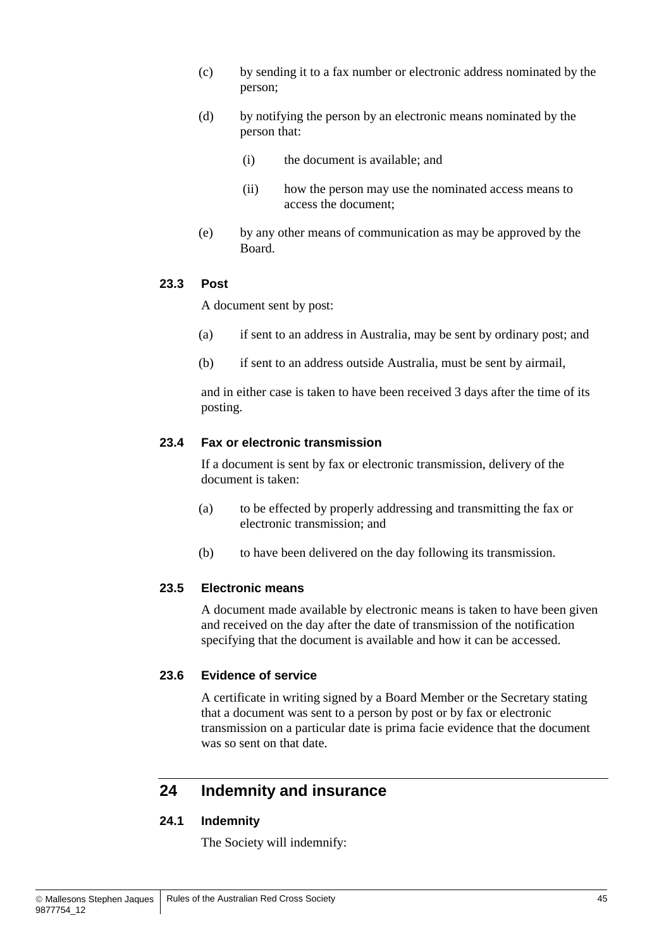- (c) by sending it to a fax number or electronic address nominated by the person;
- (d) by notifying the person by an electronic means nominated by the person that:
	- (i) the document is available; and
	- (ii) how the person may use the nominated access means to access the document;
- (e) by any other means of communication as may be approved by the Board.

#### **23.3 Post**

A document sent by post:

- (a) if sent to an address in Australia, may be sent by ordinary post; and
- (b) if sent to an address outside Australia, must be sent by airmail,

and in either case is taken to have been received 3 days after the time of its posting.

#### **23.4 Fax or electronic transmission**

If a document is sent by fax or electronic transmission, delivery of the document is taken:

- (a) to be effected by properly addressing and transmitting the fax or electronic transmission; and
- (b) to have been delivered on the day following its transmission.

#### **23.5 Electronic means**

A document made available by electronic means is taken to have been given and received on the day after the date of transmission of the notification specifying that the document is available and how it can be accessed.

#### **23.6 Evidence of service**

A certificate in writing signed by a Board Member or the Secretary stating that a document was sent to a person by post or by fax or electronic transmission on a particular date is prima facie evidence that the document was so sent on that date.

## **24 Indemnity and insurance**

#### <span id="page-50-0"></span>**24.1 Indemnity**

The Society will indemnify: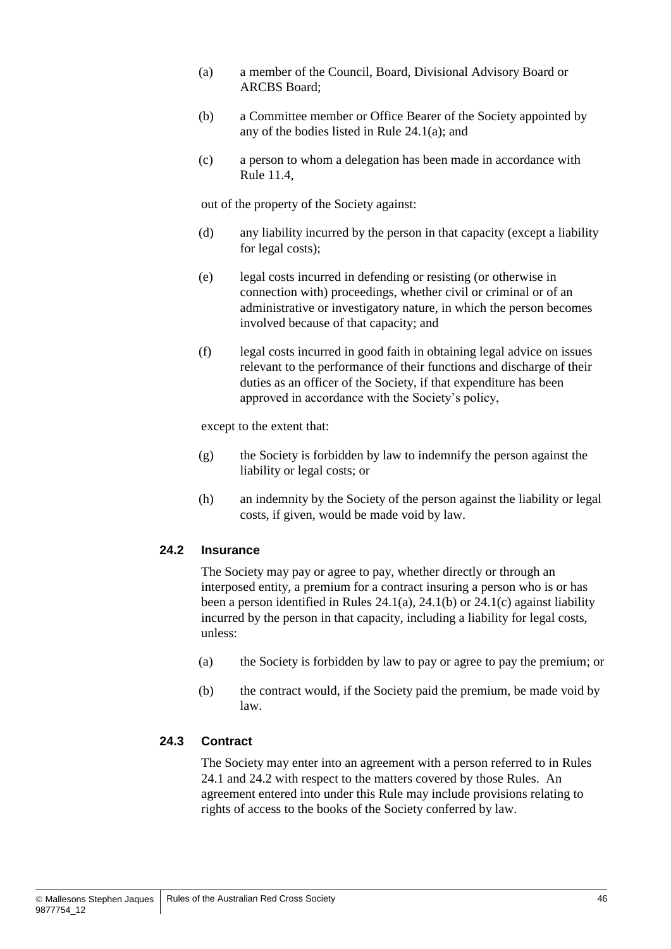- <span id="page-51-0"></span>(a) a member of the Council, Board, Divisional Advisory Board or ARCBS Board;
- <span id="page-51-1"></span>(b) a Committee member or Office Bearer of the Society appointed by any of the bodies listed in Rule [24.1\(a\);](#page-51-0) and
- <span id="page-51-2"></span>(c) a person to whom a delegation has been made in accordance with Rule [11.4,](#page-34-0)

out of the property of the Society against:

- (d) any liability incurred by the person in that capacity (except a liability for legal costs);
- (e) legal costs incurred in defending or resisting (or otherwise in connection with) proceedings, whether civil or criminal or of an administrative or investigatory nature, in which the person becomes involved because of that capacity; and
- (f) legal costs incurred in good faith in obtaining legal advice on issues relevant to the performance of their functions and discharge of their duties as an officer of the Society, if that expenditure has been approved in accordance with the Society's policy,

except to the extent that:

- (g) the Society is forbidden by law to indemnify the person against the liability or legal costs; or
- (h) an indemnity by the Society of the person against the liability or legal costs, if given, would be made void by law.

#### <span id="page-51-3"></span>**24.2 Insurance**

The Society may pay or agree to pay, whether directly or through an interposed entity, a premium for a contract insuring a person who is or has been a person identified in Rules [24.1\(a\),](#page-51-0) [24.1\(b\)](#page-51-1) or [24.1\(c\)](#page-51-2) against liability incurred by the person in that capacity, including a liability for legal costs, unless:

- (a) the Society is forbidden by law to pay or agree to pay the premium; or
- (b) the contract would, if the Society paid the premium, be made void by law.

#### **24.3 Contract**

The Society may enter into an agreement with a person referred to in Rules [24.1](#page-50-0) and [24.2](#page-51-3) with respect to the matters covered by those Rules. An agreement entered into under this Rule may include provisions relating to rights of access to the books of the Society conferred by law.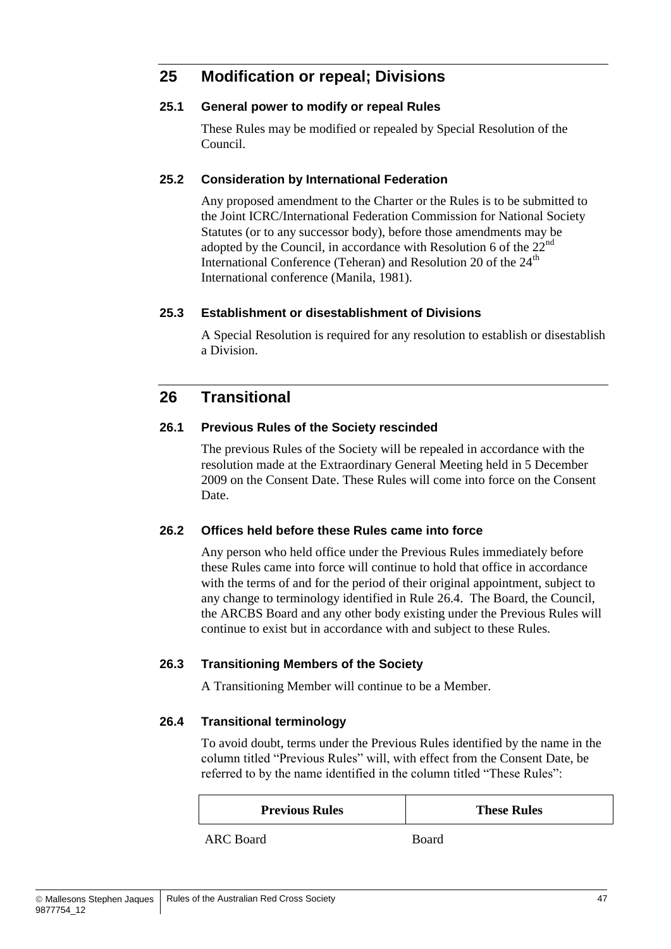## **25 Modification or repeal; Divisions**

#### **25.1 General power to modify or repeal Rules**

These Rules may be modified or repealed by Special Resolution of the Council.

#### **25.2 Consideration by International Federation**

Any proposed amendment to the Charter or the Rules is to be submitted to the Joint ICRC/International Federation Commission for National Society Statutes (or to any successor body), before those amendments may be adopted by the Council, in accordance with Resolution 6 of the  $22<sup>nd</sup>$ International Conference (Teheran) and Resolution 20 of the 24<sup>th</sup> International conference (Manila, 1981).

#### **25.3 Establishment or disestablishment of Divisions**

A Special Resolution is required for any resolution to establish or disestablish a Division.

## **26 Transitional**

#### **26.1 Previous Rules of the Society rescinded**

The previous Rules of the Society will be repealed in accordance with the resolution made at the Extraordinary General Meeting held in 5 December 2009 on the Consent Date. These Rules will come into force on the Consent Date.

#### **26.2 Offices held before these Rules came into force**

Any person who held office under the Previous Rules immediately before these Rules came into force will continue to hold that office in accordance with the terms of and for the period of their original appointment, subject to any change to terminology identified in Rule [26.4.](#page-52-0) The Board, the Council, the ARCBS Board and any other body existing under the Previous Rules will continue to exist but in accordance with and subject to these Rules.

#### **26.3 Transitioning Members of the Society**

A Transitioning Member will continue to be a Member.

#### <span id="page-52-0"></span>**26.4 Transitional terminology**

To avoid doubt, terms under the Previous Rules identified by the name in the column titled "Previous Rules" will, with effect from the Consent Date, be referred to by the name identified in the column titled "These Rules":

| <b>Previous Rules</b> | <b>These Rules</b> |
|-----------------------|--------------------|
|                       |                    |

ARC Board Board